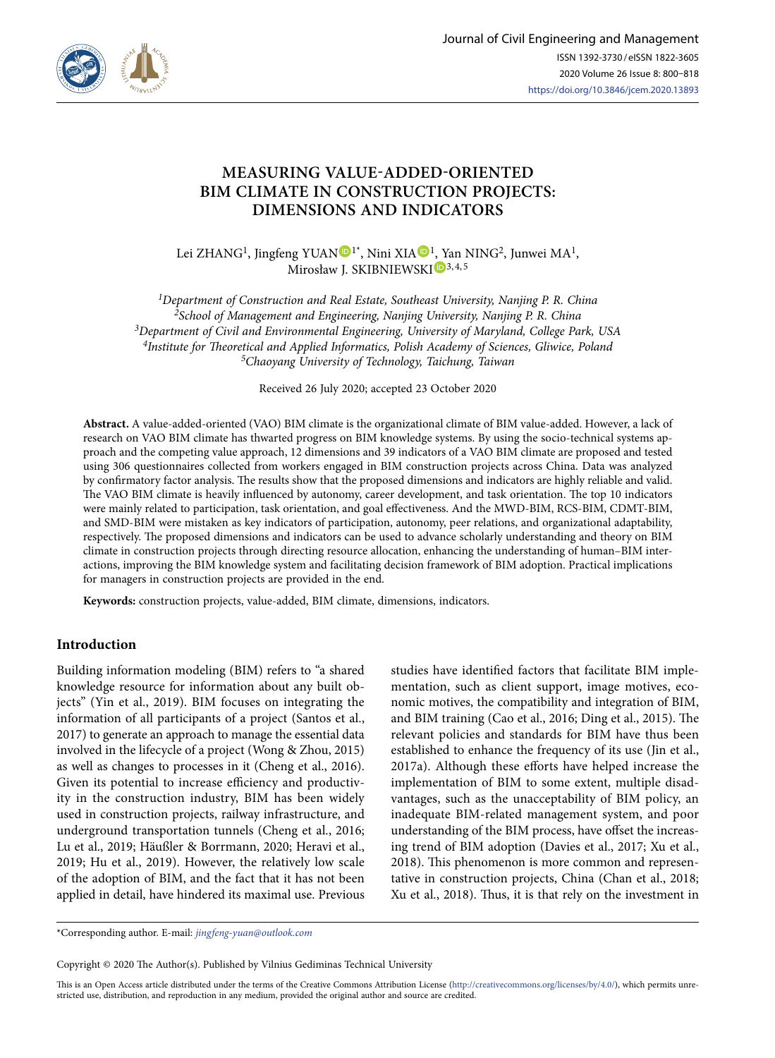

# **MEASURING VALUE-ADDED-ORIENTED BIM CLIMATE IN CONSTRUCTION PROJECTS: DIMENSIONS AND INDICATORS**

Lei ZHANG<sup>[1](https://orcid.org/0000-0001-9663-3221)</sup>, Jingfeng YUAN  $\mathbb{D}^{1*}$ , Nini XIA  $\mathbb{D}^{1}$ [, Y](https://orcid.org/0000-0002-7102-753X)an NING<sup>2</sup>, Junwei MA<sup>1</sup>, Mirosław J. SKIBNIEWSKI<sup>D3, 4, 5</sup>

*1Department of Construction and Real Estate, Southeast University, Nanjing P. R. China 2School of Management and Engineering, Nanjing University, Nanjing P. R. China 3Department of Civil and Environmental Engineering, University of Maryland, College Park, USA 4Institute for Theoretical and Applied Informatics, Polish Academy of Sciences, Gliwice, Poland 5Chaoyang University of Technology, Taichung, Taiwan*

Received 26 July 2020; accepted 23 October 2020

**Abstract.** A value-added-oriented (VAO) BIM climate is the organizational climate of BIM value-added. However, a lack of research on VAO BIM climate has thwarted progress on BIM knowledge systems. By using the socio-technical systems approach and the competing value approach, 12 dimensions and 39 indicators of a VAO BIM climate are proposed and tested using 306 questionnaires collected from workers engaged in BIM construction projects across China. Data was analyzed by confirmatory factor analysis. The results show that the proposed dimensions and indicators are highly reliable and valid. The VAO BIM climate is heavily influenced by autonomy, career development, and task orientation. The top 10 indicators were mainly related to participation, task orientation, and goal effectiveness. And the MWD-BIM, RCS-BIM, CDMT-BIM, and SMD-BIM were mistaken as key indicators of participation, autonomy, peer relations, and organizational adaptability, respectively. The proposed dimensions and indicators can be used to advance scholarly understanding and theory on BIM climate in construction projects through directing resource allocation, enhancing the understanding of human–BIM interactions, improving the BIM knowledge system and facilitating decision framework of BIM adoption. Practical implications for managers in construction projects are provided in the end.

**Keywords:** construction projects, value-added, BIM climate, dimensions, indicators.

### **Introduction**

Building information modeling (BIM) refers to "a shared knowledge resource for information about any built objects" (Yin et al., 2019). BIM focuses on integrating the information of all participants of a project (Santos et al., 2017) to generate an approach to manage the essential data involved in the lifecycle of a project (Wong & Zhou, 2015) as well as changes to processes in it (Cheng et al., 2016). Given its potential to increase efficiency and productivity in the construction industry, BIM has been widely used in construction projects, railway infrastructure, and underground transportation tunnels (Cheng et al., 2016; Lu et al., 2019; Häußler & Borrmann, 2020; Heravi et al., 2019; Hu et al., 2019). However, the relatively low scale of the adoption of BIM, and the fact that it has not been applied in detail, have hindered its maximal use. Previous studies have identified factors that facilitate BIM implementation, such as client support, image motives, economic motives, the compatibility and integration of BIM, and BIM training (Cao et al., 2016; Ding et al., 2015). The relevant policies and standards for BIM have thus been established to enhance the frequency of its use (Jin et al., 2017a). Although these efforts have helped increase the implementation of BIM to some extent, multiple disadvantages, such as the unacceptability of BIM policy, an inadequate BIM-related management system, and poor understanding of the BIM process, have offset the increasing trend of BIM adoption (Davies et al., 2017; Xu et al., 2018). This phenomenon is more common and representative in construction projects, China (Chan et al., 2018; Xu et al., 2018). Thus, it is that rely on the investment in

\*Corresponding author. E-mail: *jingfeng-yuan@outlook.com*

Copyright © 2020 The Author(s). Published by Vilnius Gediminas Technical University

This is an Open Access article distributed under the terms of the Creative Commons Attribution License [\(http://creativecommons.org/licenses/by/4.0/](http://creativecommons.org/licenses/by/4.0/)), which permits unrestricted use, distribution, and reproduction in any medium, provided the original author and source are credited.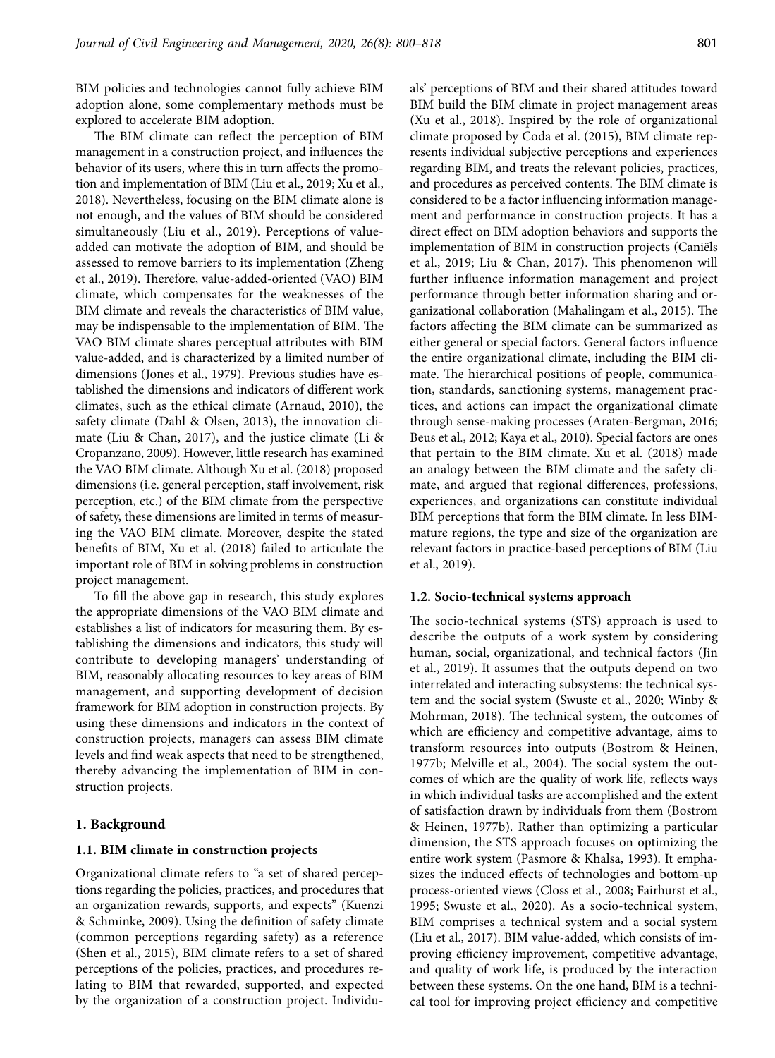BIM policies and technologies cannot fully achieve BIM adoption alone, some complementary methods must be explored to accelerate BIM adoption.

The BIM climate can reflect the perception of BIM management in a construction project, and influences the behavior of its users, where this in turn affects the promotion and implementation of BIM (Liu et al., 2019; Xu et al., 2018). Nevertheless, focusing on the BIM climate alone is not enough, and the values of BIM should be considered simultaneously (Liu et al., 2019). Perceptions of valueadded can motivate the adoption of BIM, and should be assessed to remove barriers to its implementation (Zheng et al., 2019). Therefore, value-added-oriented (VAO) BIM climate, which compensates for the weaknesses of the BIM climate and reveals the characteristics of BIM value, may be indispensable to the implementation of BIM. The VAO BIM climate shares perceptual attributes with BIM value-added, and is characterized by a limited number of dimensions (Jones et al., 1979). Previous studies have established the dimensions and indicators of different work climates, such as the ethical climate (Arnaud, 2010), the safety climate (Dahl & Olsen, 2013), the innovation climate (Liu & Chan, 2017), and the justice climate (Li & Cropanzano, 2009). However, little research has examined the VAO BIM climate. Although Xu et al. (2018) proposed dimensions (i.e. general perception, staff involvement, risk perception, etc.) of the BIM climate from the perspective of safety, these dimensions are limited in terms of measuring the VAO BIM climate. Moreover, despite the stated benefits of BIM, Xu et al. (2018) failed to articulate the important role of BIM in solving problems in construction project management.

To fill the above gap in research, this study explores the appropriate dimensions of the VAO BIM climate and establishes a list of indicators for measuring them. By establishing the dimensions and indicators, this study will contribute to developing managers' understanding of BIM, reasonably allocating resources to key areas of BIM management, and supporting development of decision framework for BIM adoption in construction projects. By using these dimensions and indicators in the context of construction projects, managers can assess BIM climate levels and find weak aspects that need to be strengthened, thereby advancing the implementation of BIM in construction projects.

### **1. Background**

#### **1.1. BIM climate in construction projects**

Organizational climate refers to "a set of shared perceptions regarding the policies, practices, and procedures that an organization rewards, supports, and expects" (Kuenzi & Schminke, 2009). Using the definition of safety climate (common perceptions regarding safety) as a reference (Shen et al., 2015), BIM climate refers to a set of shared perceptions of the policies, practices, and procedures relating to BIM that rewarded, supported, and expected by the organization of a construction project. Individuals' perceptions of BIM and their shared attitudes toward BIM build the BIM climate in project management areas (Xu et al., 2018). Inspired by the role of organizational climate proposed by Coda et al. (2015), BIM climate represents individual subjective perceptions and experiences regarding BIM, and treats the relevant policies, practices, and procedures as perceived contents. The BIM climate is considered to be a factor influencing information management and performance in construction projects. It has a direct effect on BIM adoption behaviors and supports the implementation of BIM in construction projects (Caniëls et al., 2019; Liu & Chan, 2017). This phenomenon will further influence information management and project performance through better information sharing and organizational collaboration (Mahalingam et al., 2015). The factors affecting the BIM climate can be summarized as either general or special factors. General factors influence the entire organizational climate, including the BIM climate. The hierarchical positions of people, communication, standards, sanctioning systems, management practices, and actions can impact the organizational climate through sense-making processes (Araten-Bergman, 2016; Beus et al., 2012; Kaya et al., 2010). Special factors are ones that pertain to the BIM climate. Xu et al. (2018) made an analogy between the BIM climate and the safety climate, and argued that regional differences, professions, experiences, and organizations can constitute individual BIM perceptions that form the BIM climate. In less BIMmature regions, the type and size of the organization are relevant factors in practice-based perceptions of BIM (Liu et al., 2019).

#### **1.2. Socio-technical systems approach**

The socio-technical systems (STS) approach is used to describe the outputs of a work system by considering human, social, organizational, and technical factors (Jin et al., 2019). It assumes that the outputs depend on two interrelated and interacting subsystems: the technical system and the social system (Swuste et al., 2020; Winby & Mohrman, 2018). The technical system, the outcomes of which are efficiency and competitive advantage, aims to transform resources into outputs (Bostrom & Heinen, 1977b; Melville et al., 2004). The social system the outcomes of which are the quality of work life, reflects ways in which individual tasks are accomplished and the extent of satisfaction drawn by individuals from them (Bostrom & Heinen, 1977b). Rather than optimizing a particular dimension, the STS approach focuses on optimizing the entire work system (Pasmore & Khalsa, 1993). It emphasizes the induced effects of technologies and bottom-up process-oriented views (Closs et al., 2008; Fairhurst et al., 1995; Swuste et al., 2020). As a socio-technical system, BIM comprises a technical system and a social system (Liu et al., 2017). BIM value-added, which consists of improving efficiency improvement, competitive advantage, and quality of work life, is produced by the interaction between these systems. On the one hand, BIM is a technical tool for improving project efficiency and competitive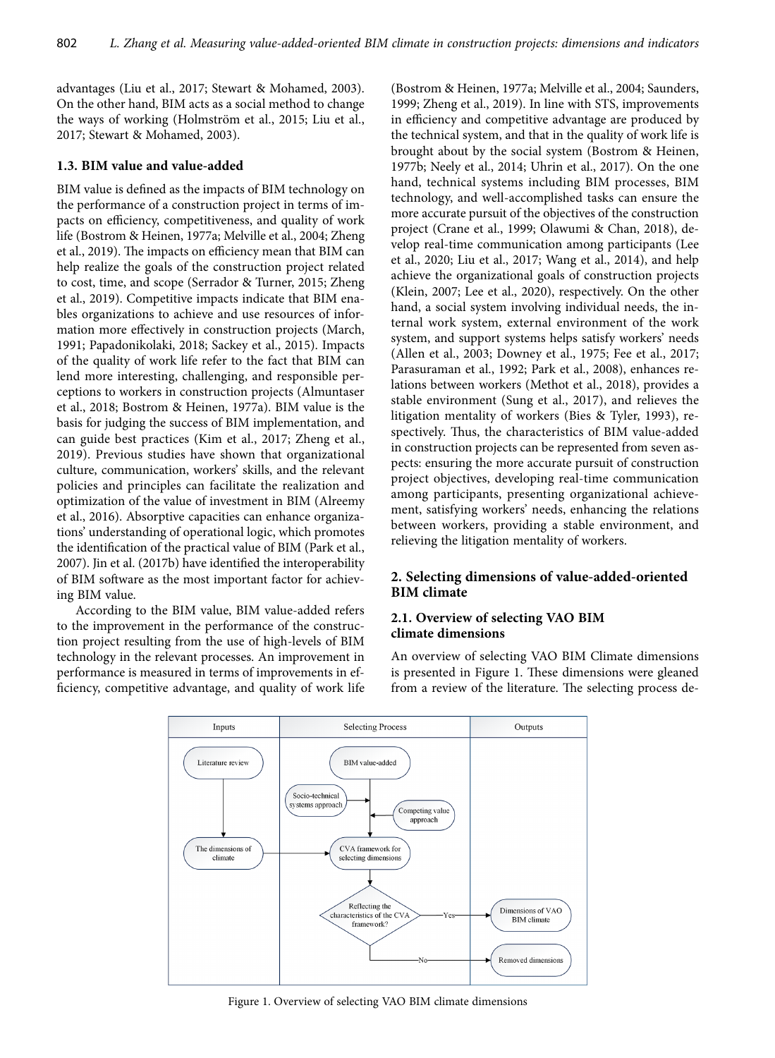advantages (Liu et al., 2017; Stewart & Mohamed, 2003). On the other hand, BIM acts as a social method to change the ways of working (Holmström et al., 2015; Liu et al., 2017; Stewart & Mohamed, 2003).

# **1.3. BIM value and value-added**

BIM value is defined as the impacts of BIM technology on the performance of a construction project in terms of impacts on efficiency, competitiveness, and quality of work life (Bostrom & Heinen, 1977a; Melville et al., 2004; Zheng et al., 2019). The impacts on efficiency mean that BIM can help realize the goals of the construction project related to cost, time, and scope (Serrador & Turner, 2015; Zheng et al., 2019). Competitive impacts indicate that BIM enables organizations to achieve and use resources of information more effectively in construction projects (March, 1991; Papadonikolaki, 2018; Sackey et al., 2015). Impacts of the quality of work life refer to the fact that BIM can lend more interesting, challenging, and responsible perceptions to workers in construction projects (Almuntaser et al., 2018; Bostrom & Heinen, 1977a). BIM value is the basis for judging the success of BIM implementation, and can guide best practices (Kim et al., 2017; Zheng et al., 2019). Previous studies have shown that organizational culture, communication, workers' skills, and the relevant policies and principles can facilitate the realization and optimization of the value of investment in BIM (Alreemy et al., 2016). Absorptive capacities can enhance organizations' understanding of operational logic, which promotes the identification of the practical value of BIM (Park et al., 2007). Jin et al. (2017b) have identified the interoperability of BIM software as the most important factor for achieving BIM value.

According to the BIM value, BIM value-added refers to the improvement in the performance of the construction project resulting from the use of high-levels of BIM technology in the relevant processes. An improvement in performance is measured in terms of improvements in efficiency, competitive advantage, and quality of work life (Bostrom & Heinen, 1977a; Melville et al., 2004; Saunders, 1999; Zheng et al., 2019). In line with STS, improvements in efficiency and competitive advantage are produced by the technical system, and that in the quality of work life is brought about by the social system (Bostrom & Heinen, 1977b; Neely et al., 2014; Uhrin et al., 2017). On the one hand, technical systems including BIM processes, BIM technology, and well-accomplished tasks can ensure the more accurate pursuit of the objectives of the construction project (Crane et al., 1999; Olawumi & Chan, 2018), develop real-time communication among participants (Lee et al., 2020; Liu et al., 2017; Wang et al., 2014), and help achieve the organizational goals of construction projects (Klein, 2007; Lee et al., 2020), respectively. On the other hand, a social system involving individual needs, the internal work system, external environment of the work system, and support systems helps satisfy workers' needs (Allen et al., 2003; Downey et al., 1975; Fee et al., 2017; Parasuraman et al., 1992; Park et al., 2008), enhances relations between workers (Methot et al., 2018), provides a stable environment (Sung et al., 2017), and relieves the litigation mentality of workers (Bies & Tyler, 1993), respectively. Thus, the characteristics of BIM value-added in construction projects can be represented from seven aspects: ensuring the more accurate pursuit of construction project objectives, developing real-time communication among participants, presenting organizational achievement, satisfying workers' needs, enhancing the relations between workers, providing a stable environment, and relieving the litigation mentality of workers.

# **2. Selecting dimensions of value-added-oriented BIM climate**

## **2.1. Overview of selecting VAO BIM climate dimensions**

An overview of selecting VAO BIM Climate dimensions is presented in Figure 1. These dimensions were gleaned from a review of the literature. The selecting process de-



Figure 1. Overview of selecting VAO BIM climate dimensions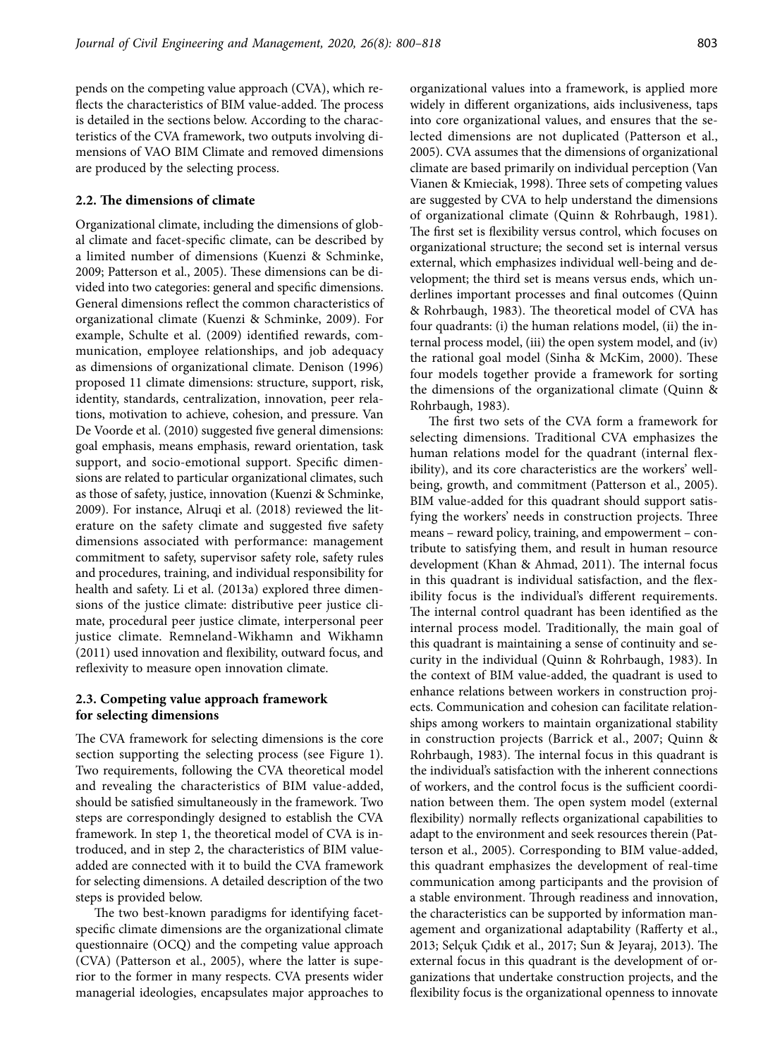pends on the competing value approach (CVA), which reflects the characteristics of BIM value-added. The process is detailed in the sections below. According to the characteristics of the CVA framework, two outputs involving dimensions of VAO BIM Climate and removed dimensions are produced by the selecting process.

### **2.2. The dimensions of climate**

Organizational climate, including the dimensions of global climate and facet-specific climate, can be described by a limited number of dimensions (Kuenzi & Schminke, 2009; Patterson et al., 2005). These dimensions can be divided into two categories: general and specific dimensions. General dimensions reflect the common characteristics of organizational climate (Kuenzi & Schminke, 2009). For example, Schulte et al. (2009) identified rewards, communication, employee relationships, and job adequacy as dimensions of organizational climate. Denison (1996) proposed 11 climate dimensions: structure, support, risk, identity, standards, centralization, innovation, peer relations, motivation to achieve, cohesion, and pressure. Van De Voorde et al. (2010) suggested five general dimensions: goal emphasis, means emphasis, reward orientation, task support, and socio-emotional support. Specific dimensions are related to particular organizational climates, such as those of safety, justice, innovation (Kuenzi & Schminke, 2009). For instance, Alruqi et al. (2018) reviewed the literature on the safety climate and suggested five safety dimensions associated with performance: management commitment to safety, supervisor safety role, safety rules and procedures, training, and individual responsibility for health and safety. Li et al. (2013a) explored three dimensions of the justice climate: distributive peer justice climate, procedural peer justice climate, interpersonal peer justice climate. Remneland-Wikhamn and Wikhamn (2011) used innovation and flexibility, outward focus, and reflexivity to measure open innovation climate.

### **2.3. Competing value approach framework for selecting dimensions**

The CVA framework for selecting dimensions is the core section supporting the selecting process (see Figure 1). Two requirements, following the CVA theoretical model and revealing the characteristics of BIM value-added, should be satisfied simultaneously in the framework. Two steps are correspondingly designed to establish the CVA framework. In step 1, the theoretical model of CVA is introduced, and in step 2, the characteristics of BIM valueadded are connected with it to build the CVA framework for selecting dimensions. A detailed description of the two steps is provided below.

The two best-known paradigms for identifying facetspecific climate dimensions are the organizational climate questionnaire (OCQ) and the competing value approach (CVA) (Patterson et al., 2005), where the latter is superior to the former in many respects. CVA presents wider managerial ideologies, encapsulates major approaches to

organizational values into a framework, is applied more widely in different organizations, aids inclusiveness, taps into core organizational values, and ensures that the selected dimensions are not duplicated (Patterson et al., 2005). CVA assumes that the dimensions of organizational climate are based primarily on individual perception (Van Vianen & Kmieciak, 1998). Three sets of competing values are suggested by CVA to help understand the dimensions of organizational climate (Quinn & Rohrbaugh, 1981). The first set is flexibility versus control, which focuses on organizational structure; the second set is internal versus external, which emphasizes individual well-being and development; the third set is means versus ends, which underlines important processes and final outcomes (Quinn & Rohrbaugh, 1983). The theoretical model of CVA has four quadrants: (i) the human relations model, (ii) the internal process model, (iii) the open system model, and (iv) the rational goal model (Sinha & McKim, 2000). These four models together provide a framework for sorting the dimensions of the organizational climate (Quinn & Rohrbaugh, 1983).

The first two sets of the CVA form a framework for selecting dimensions. Traditional CVA emphasizes the human relations model for the quadrant (internal flexibility), and its core characteristics are the workers' wellbeing, growth, and commitment (Patterson et al., 2005). BIM value-added for this quadrant should support satisfying the workers' needs in construction projects. Three means – reward policy, training, and empowerment – contribute to satisfying them, and result in human resource development (Khan & Ahmad, 2011). The internal focus in this quadrant is individual satisfaction, and the flexibility focus is the individual's different requirements. The internal control quadrant has been identified as the internal process model. Traditionally, the main goal of this quadrant is maintaining a sense of continuity and security in the individual (Quinn & Rohrbaugh, 1983). In the context of BIM value-added, the quadrant is used to enhance relations between workers in construction projects. Communication and cohesion can facilitate relationships among workers to maintain organizational stability in construction projects (Barrick et al., 2007; Quinn & Rohrbaugh, 1983). The internal focus in this quadrant is the individual's satisfaction with the inherent connections of workers, and the control focus is the sufficient coordination between them. The open system model (external flexibility) normally reflects organizational capabilities to adapt to the environment and seek resources therein (Patterson et al., 2005). Corresponding to BIM value-added, this quadrant emphasizes the development of real-time communication among participants and the provision of a stable environment. Through readiness and innovation, the characteristics can be supported by information management and organizational adaptability (Rafferty et al., 2013; Selçuk Çıdık et al., 2017; Sun & Jeyaraj, 2013). The external focus in this quadrant is the development of organizations that undertake construction projects, and the flexibility focus is the organizational openness to innovate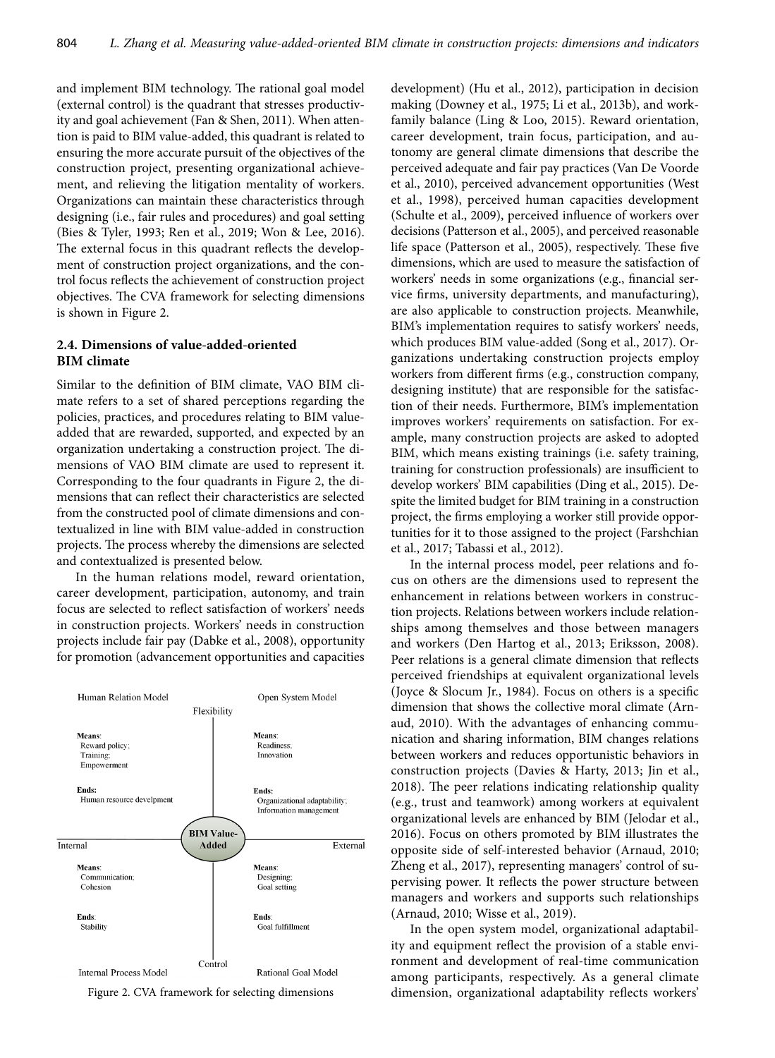and implement BIM technology. The rational goal model (external control) is the quadrant that stresses productivity and goal achievement (Fan & Shen, 2011). When attention is paid to BIM value-added, this quadrant is related to ensuring the more accurate pursuit of the objectives of the construction project, presenting organizational achievement, and relieving the litigation mentality of workers. Organizations can maintain these characteristics through designing (i.e., fair rules and procedures) and goal setting (Bies & Tyler, 1993; Ren et al., 2019; Won & Lee, 2016). The external focus in this quadrant reflects the development of construction project organizations, and the control focus reflects the achievement of construction project objectives. The CVA framework for selecting dimensions is shown in Figure 2.

### **2.4. Dimensions of value-added-oriented BIM climate**

Similar to the definition of BIM climate, VAO BIM climate refers to a set of shared perceptions regarding the policies, practices, and procedures relating to BIM valueadded that are rewarded, supported, and expected by an organization undertaking a construction project. The dimensions of VAO BIM climate are used to represent it. Corresponding to the four quadrants in Figure 2, the dimensions that can reflect their characteristics are selected from the constructed pool of climate dimensions and contextualized in line with BIM value-added in construction projects. The process whereby the dimensions are selected and contextualized is presented below.

In the human relations model, reward orientation, career development, participation, autonomy, and train focus are selected to reflect satisfaction of workers' needs in construction projects. Workers' needs in construction projects include fair pay (Dabke et al., 2008), opportunity for promotion (advancement opportunities and capacities



development) (Hu et al., 2012), participation in decision making (Downey et al., 1975; Li et al., 2013b), and workfamily balance (Ling & Loo, 2015). Reward orientation, career development, train focus, participation, and autonomy are general climate dimensions that describe the perceived adequate and fair pay practices (Van De Voorde et al., 2010), perceived advancement opportunities (West et al., 1998), perceived human capacities development (Schulte et al., 2009), perceived influence of workers over decisions (Patterson et al., 2005), and perceived reasonable life space (Patterson et al., 2005), respectively. These five dimensions, which are used to measure the satisfaction of workers' needs in some organizations (e.g., financial service firms, university departments, and manufacturing), are also applicable to construction projects. Meanwhile, BIM's implementation requires to satisfy workers' needs, which produces BIM value-added (Song et al., 2017). Organizations undertaking construction projects employ workers from different firms (e.g., construction company, designing institute) that are responsible for the satisfaction of their needs. Furthermore, BIM's implementation improves workers' requirements on satisfaction. For example, many construction projects are asked to adopted BIM, which means existing trainings (i.e. safety training, training for construction professionals) are insufficient to develop workers' BIM capabilities (Ding et al., 2015). Despite the limited budget for BIM training in a construction project, the firms employing a worker still provide opportunities for it to those assigned to the project (Farshchian et al., 2017; Tabassi et al., 2012).

In the internal process model, peer relations and focus on others are the dimensions used to represent the enhancement in relations between workers in construction projects. Relations between workers include relationships among themselves and those between managers and workers (Den Hartog et al., 2013; Eriksson, 2008). Peer relations is a general climate dimension that reflects perceived friendships at equivalent organizational levels (Joyce & Slocum Jr., 1984). Focus on others is a specific dimension that shows the collective moral climate (Arnaud, 2010). With the advantages of enhancing communication and sharing information, BIM changes relations between workers and reduces opportunistic behaviors in construction projects (Davies & Harty, 2013; Jin et al., 2018). The peer relations indicating relationship quality (e.g., trust and teamwork) among workers at equivalent organizational levels are enhanced by BIM (Jelodar et al., 2016). Focus on others promoted by BIM illustrates the opposite side of self-interested behavior (Arnaud, 2010; Zheng et al., 2017), representing managers' control of supervising power. It reflects the power structure between managers and workers and supports such relationships (Arnaud, 2010; Wisse et al., 2019).

In the open system model, organizational adaptability and equipment reflect the provision of a stable environment and development of real-time communication among participants, respectively. As a general climate Figure 2. CVA framework for selecting dimensions dimension, organizational adaptability reflects workers'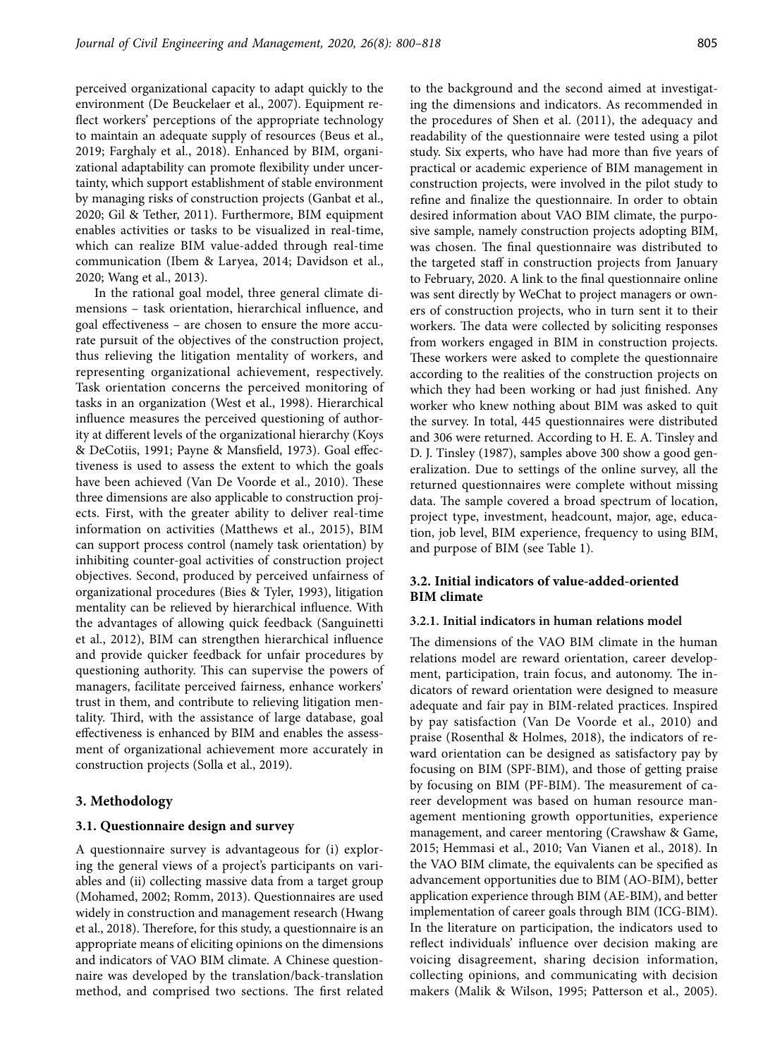perceived organizational capacity to adapt quickly to the environment (De Beuckelaer et al., 2007). Equipment reflect workers' perceptions of the appropriate technology to maintain an adequate supply of resources (Beus et al., 2019; Farghaly et al., 2018). Enhanced by BIM, organizational adaptability can promote flexibility under uncertainty, which support establishment of stable environment by managing risks of construction projects (Ganbat et al., 2020; Gil & Tether, 2011). Furthermore, BIM equipment enables activities or tasks to be visualized in real-time, which can realize BIM value-added through real-time communication (Ibem & Laryea, 2014; Davidson et al., 2020; Wang et al., 2013).

In the rational goal model, three general climate dimensions – task orientation, hierarchical influence, and goal effectiveness – are chosen to ensure the more accurate pursuit of the objectives of the construction project, thus relieving the litigation mentality of workers, and representing organizational achievement, respectively. Task orientation concerns the perceived monitoring of tasks in an organization (West et al., 1998). Hierarchical influence measures the perceived questioning of authority at different levels of the organizational hierarchy (Koys & DeCotiis, 1991; Payne & Mansfield, 1973). Goal effectiveness is used to assess the extent to which the goals have been achieved (Van De Voorde et al., 2010). These three dimensions are also applicable to construction projects. First, with the greater ability to deliver real-time information on activities (Matthews et al., 2015), BIM can support process control (namely task orientation) by inhibiting counter-goal activities of construction project objectives. Second, produced by perceived unfairness of organizational procedures (Bies & Tyler, 1993), litigation mentality can be relieved by hierarchical influence. With the advantages of allowing quick feedback (Sanguinetti et al., 2012), BIM can strengthen hierarchical influence and provide quicker feedback for unfair procedures by questioning authority. This can supervise the powers of managers, facilitate perceived fairness, enhance workers' trust in them, and contribute to relieving litigation mentality. Third, with the assistance of large database, goal effectiveness is enhanced by BIM and enables the assessment of organizational achievement more accurately in construction projects (Solla et al., 2019).

### **3. Methodology**

#### **3.1. Questionnaire design and survey**

A questionnaire survey is advantageous for (i) exploring the general views of a project's participants on variables and (ii) collecting massive data from a target group (Mohamed, 2002; Romm, 2013). Questionnaires are used widely in construction and management research (Hwang et al., 2018). Therefore, for this study, a questionnaire is an appropriate means of eliciting opinions on the dimensions and indicators of VAO BIM climate. A Chinese questionnaire was developed by the translation/back-translation method, and comprised two sections. The first related

to the background and the second aimed at investigating the dimensions and indicators. As recommended in the procedures of Shen et al. (2011), the adequacy and readability of the questionnaire were tested using a pilot study. Six experts, who have had more than five years of practical or academic experience of BIM management in construction projects, were involved in the pilot study to refine and finalize the questionnaire. In order to obtain desired information about VAO BIM climate, the purposive sample, namely construction projects adopting BIM, was chosen. The final questionnaire was distributed to the targeted staff in construction projects from January to February, 2020. A link to the final questionnaire online was sent directly by WeChat to project managers or owners of construction projects, who in turn sent it to their workers. The data were collected by soliciting responses from workers engaged in BIM in construction projects. These workers were asked to complete the questionnaire according to the realities of the construction projects on which they had been working or had just finished. Any worker who knew nothing about BIM was asked to quit the survey. In total, 445 questionnaires were distributed and 306 were returned. According to H. E. A. Tinsley and D. J. Tinsley (1987), samples above 300 show a good generalization. Due to settings of the online survey, all the returned questionnaires were complete without missing data. The sample covered a broad spectrum of location, project type, investment, headcount, major, age, education, job level, BIM experience, frequency to using BIM, and purpose of BIM (see Table 1).

# **3.2. Initial indicators of value-added-oriented BIM climate**

#### **3.2.1. Initial indicators in human relations model**

The dimensions of the VAO BIM climate in the human relations model are reward orientation, career development, participation, train focus, and autonomy. The indicators of reward orientation were designed to measure adequate and fair pay in BIM-related practices. Inspired by pay satisfaction (Van De Voorde et al., 2010) and praise (Rosenthal & Holmes, 2018), the indicators of reward orientation can be designed as satisfactory pay by focusing on BIM (SPF-BIM), and those of getting praise by focusing on BIM (PF-BIM). The measurement of career development was based on human resource management mentioning growth opportunities, experience management, and career mentoring (Crawshaw & Game, 2015; Hemmasi et al., 2010; Van Vianen et al., 2018). In the VAO BIM climate, the equivalents can be specified as advancement opportunities due to BIM (AO-BIM), better application experience through BIM (AE-BIM), and better implementation of career goals through BIM (ICG-BIM). In the literature on participation, the indicators used to reflect individuals' influence over decision making are voicing disagreement, sharing decision information, collecting opinions, and communicating with decision makers (Malik & Wilson, 1995; Patterson et al., 2005).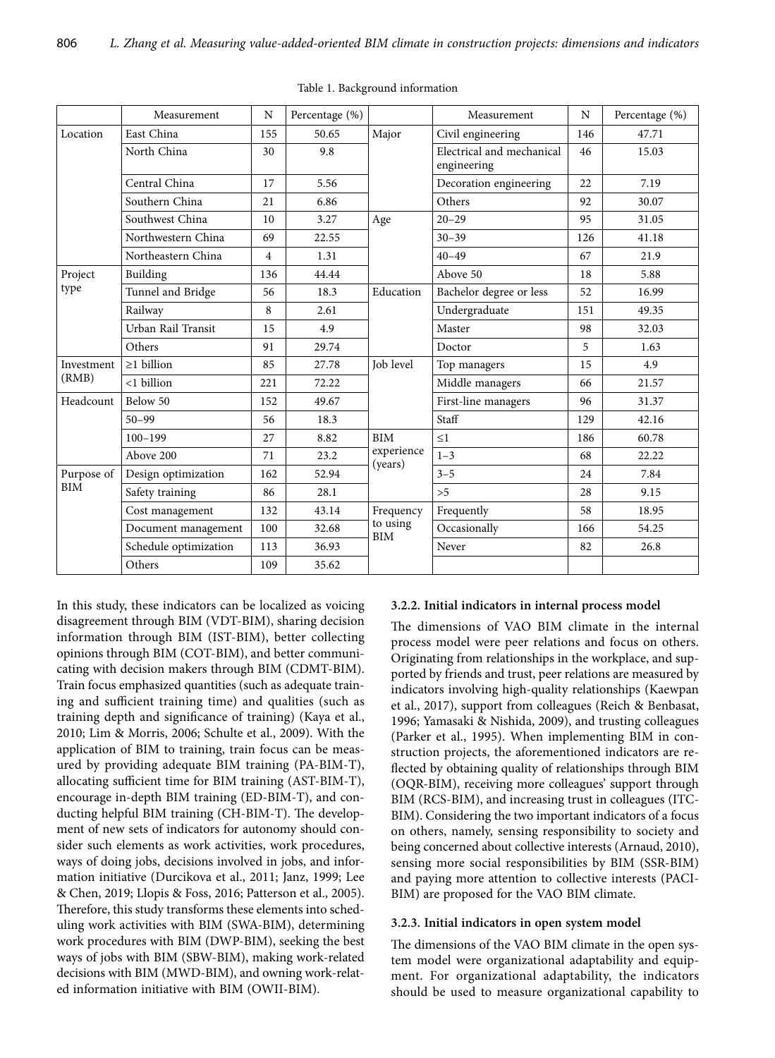|                                  | Measurement                       | N              | Percentage (%) |                  | Measurement                              | N   | Percentage (%) |
|----------------------------------|-----------------------------------|----------------|----------------|------------------|------------------------------------------|-----|----------------|
| Location                         | East China                        | 155            | 50.65          | Major            | Civil engineering                        | 146 | 47.71          |
|                                  | North China                       | 30             | 9.8            |                  | Electrical and mechanical<br>engineering | 46  | 15.03          |
|                                  | Central China                     | 17             | 5.56           |                  | Decoration engineering                   | 22  | 7.19           |
|                                  | Southern China                    | 21             | 6.86           |                  | Others                                   | 92  | 30.07          |
|                                  | Southwest China                   | 10             | 3.27           | Age              | $20 - 29$                                | 95  | 31.05          |
|                                  | Northwestern China<br>69<br>22.55 |                |                |                  | $30 - 39$                                | 126 | 41.18          |
|                                  | Northeastern China                | $\overline{4}$ | 1.31           |                  | $40 - 49$                                | 67  | 21.9           |
| Project                          | Building                          | 136            | 44.44          |                  | Above 50                                 | 18  | 5.88           |
| type                             | Tunnel and Bridge                 | 56             | 18.3           | Education        | Bachelor degree or less                  | 52  | 16.99          |
|                                  | Railway                           | 8              | 2.61           |                  | Undergraduate                            | 151 | 49.35          |
|                                  | Urban Rail Transit                | 15             | 4.9            |                  | Master                                   | 98  | 32.03          |
|                                  | Others                            | 91             | 29.74          |                  | Doctor                                   | 5   | 1.63           |
| Investment<br>(RMB)<br>Headcount | $\geq$ 1 billion                  | 85             | 27.78          | <b>Iob</b> level | Top managers                             | 15  | 4.9            |
|                                  | <1 billion                        | 221            | 72.22          |                  | Middle managers                          | 66  | 21.57          |
|                                  | Below 50                          | 152            | 49.67          |                  | First-line managers                      | 96  | 31.37          |
|                                  | $50 - 99$                         | 56             | 18.3           |                  | Staff                                    | 129 | 42.16          |
|                                  | $100 - 199$                       | 27             | 8.82           | <b>BIM</b>       | $\leq$ 1                                 | 186 | 60.78          |
|                                  | Above 200                         | 71             | 23.2           | experience       | $1 - 3$                                  | 68  | 22.22          |
| Purpose of                       | Design optimization               | 162            | 52.94          | (years)          | $3 - 5$                                  | 24  | 7.84           |
| <b>BIM</b>                       | Safety training                   | 86             | 28.1           |                  | > 5                                      | 28  | 9.15           |
|                                  | Cost management                   | 132            | 43.14          | Frequency        | Frequently                               | 58  | 18.95          |
|                                  | Document management               | 100            | 32.68          | to using<br>BIM  | Occasionally                             | 166 | 54.25          |
|                                  | Schedule optimization             | 113            | 36.93          |                  | Never                                    | 82  | 26.8           |
|                                  | Others                            | 109            | 35.62          |                  |                                          |     |                |

Table 1. Background information

In this study, these indicators can be localized as voicing disagreement through BIM (VDT-BIM), sharing decision information through BIM (IST-BIM), better collecting opinions through BIM (COT-BIM), and better communicating with decision makers through BIM (CDMT-BIM). Train focus emphasized quantities (such as adequate training and sufficient training time) and qualities (such as training depth and significance of training) (Kaya et al., 2010; Lim & Morris, 2006; Schulte et al., 2009). With the application of BIM to training, train focus can be measured by providing adequate BIM training (PA-BIM-T), allocating sufficient time for BIM training (AST-BIM-T), encourage in-depth BIM training (ED-BIM-T), and conducting helpful BIM training (CH-BIM-T). The development of new sets of indicators for autonomy should consider such elements as work activities, work procedures, ways of doing jobs, decisions involved in jobs, and information initiative (Durcikova et al., 2011; Janz, 1999; Lee & Chen, 2019; Llopis & Foss, 2016; Patterson et al., 2005). Therefore, this study transforms these elements into scheduling work activities with BIM (SWA-BIM), determining work procedures with BIM (DWP-BIM), seeking the best ways of jobs with BIM (SBW-BIM), making work-related decisions with BIM (MWD-BIM), and owning work-related information initiative with BIM (OWII-BIM).

#### **3.2.2. Initial indicators in internal process model**

The dimensions of VAO BIM climate in the internal process model were peer relations and focus on others. Originating from relationships in the workplace, and supported by friends and trust, peer relations are measured by indicators involving high-quality relationships (Kaewpan et al., 2017), support from colleagues (Reich & Benbasat, 1996; Yamasaki & Nishida, 2009), and trusting colleagues (Parker et al., 1995). When implementing BIM in construction projects, the aforementioned indicators are reflected by obtaining quality of relationships through BIM (OQR-BIM), receiving more colleagues' support through BIM (RCS-BIM), and increasing trust in colleagues (ITC-BIM). Considering the two important indicators of a focus on others, namely, sensing responsibility to society and being concerned about collective interests (Arnaud, 2010), sensing more social responsibilities by BIM (SSR-BIM) and paying more attention to collective interests (PACI-BIM) are proposed for the VAO BIM climate.

#### **3.2.3. Initial indicators in open system model**

The dimensions of the VAO BIM climate in the open system model were organizational adaptability and equipment. For organizational adaptability, the indicators should be used to measure organizational capability to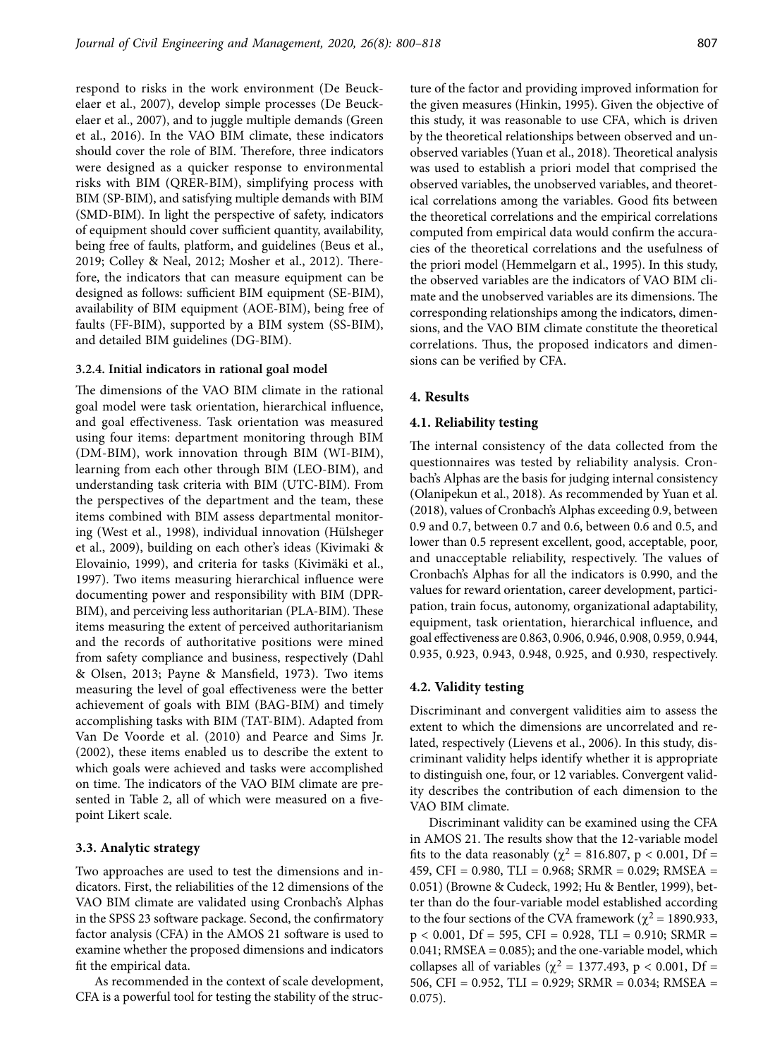respond to risks in the work environment (De Beuckelaer et al., 2007), develop simple processes (De Beuckelaer et al., 2007), and to juggle multiple demands (Green et al., 2016). In the VAO BIM climate, these indicators should cover the role of BIM. Therefore, three indicators were designed as a quicker response to environmental risks with BIM (QRER-BIM), simplifying process with BIM (SP-BIM), and satisfying multiple demands with BIM (SMD-BIM). In light the perspective of safety, indicators of equipment should cover sufficient quantity, availability, being free of faults, platform, and guidelines (Beus et al., 2019; Colley & Neal, 2012; Mosher et al., 2012). Therefore, the indicators that can measure equipment can be designed as follows: sufficient BIM equipment (SE-BIM), availability of BIM equipment (AOE-BIM), being free of faults (FF-BIM), supported by a BIM system (SS-BIM), and detailed BIM guidelines (DG-BIM).

#### **3.2.4. Initial indicators in rational goal model**

The dimensions of the VAO BIM climate in the rational goal model were task orientation, hierarchical influence, and goal effectiveness. Task orientation was measured using four items: department monitoring through BIM (DM-BIM), work innovation through BIM (WI-BIM), learning from each other through BIM (LEO-BIM), and understanding task criteria with BIM (UTC-BIM). From the perspectives of the department and the team, these items combined with BIM assess departmental monitoring (West et al., 1998), individual innovation (Hülsheger et al., 2009), building on each other's ideas (Kivimaki & Elovainio, 1999), and criteria for tasks (Kivimäki et al., 1997). Two items measuring hierarchical influence were documenting power and responsibility with BIM (DPR-BIM), and perceiving less authoritarian (PLA-BIM). These items measuring the extent of perceived authoritarianism and the records of authoritative positions were mined from safety compliance and business, respectively (Dahl & Olsen, 2013; Payne & Mansfield, 1973). Two items measuring the level of goal effectiveness were the better achievement of goals with BIM (BAG-BIM) and timely accomplishing tasks with BIM (TAT-BIM). Adapted from Van De Voorde et al. (2010) and Pearce and Sims Jr. (2002), these items enabled us to describe the extent to which goals were achieved and tasks were accomplished on time. The indicators of the VAO BIM climate are presented in Table 2, all of which were measured on a fivepoint Likert scale.

#### **3.3. Analytic strategy**

Two approaches are used to test the dimensions and indicators. First, the reliabilities of the 12 dimensions of the VAO BIM climate are validated using Cronbach's Alphas in the SPSS 23 software package. Second, the confirmatory factor analysis (CFA) in the AMOS 21 software is used to examine whether the proposed dimensions and indicators fit the empirical data.

As recommended in the context of scale development, CFA is a powerful tool for testing the stability of the structure of the factor and providing improved information for the given measures (Hinkin, 1995). Given the objective of this study, it was reasonable to use CFA, which is driven by the theoretical relationships between observed and unobserved variables (Yuan et al., 2018). Theoretical analysis was used to establish a priori model that comprised the observed variables, the unobserved variables, and theoretical correlations among the variables. Good fits between the theoretical correlations and the empirical correlations computed from empirical data would confirm the accuracies of the theoretical correlations and the usefulness of the priori model (Hemmelgarn et al., 1995). In this study, the observed variables are the indicators of VAO BIM climate and the unobserved variables are its dimensions. The corresponding relationships among the indicators, dimensions, and the VAO BIM climate constitute the theoretical correlations. Thus, the proposed indicators and dimensions can be verified by CFA.

#### **4. Results**

#### **4.1. Reliability testing**

The internal consistency of the data collected from the questionnaires was tested by reliability analysis. Cronbach's Alphas are the basis for judging internal consistency (Olanipekun et al., 2018). As recommended by Yuan et al. (2018), values of Cronbach's Alphas exceeding 0.9, between 0.9 and 0.7, between 0.7 and 0.6, between 0.6 and 0.5, and lower than 0.5 represent excellent, good, acceptable, poor, and unacceptable reliability, respectively. The values of Cronbach's Alphas for all the indicators is 0.990, and the values for reward orientation, career development, participation, train focus, autonomy, organizational adaptability, equipment, task orientation, hierarchical influence, and goal effectiveness are 0.863, 0.906, 0.946, 0.908, 0.959, 0.944, 0.935, 0.923, 0.943, 0.948, 0.925, and 0.930, respectively.

#### **4.2. Validity testing**

Discriminant and convergent validities aim to assess the extent to which the dimensions are uncorrelated and related, respectively (Lievens et al., 2006). In this study, discriminant validity helps identify whether it is appropriate to distinguish one, four, or 12 variables. Convergent validity describes the contribution of each dimension to the VAO BIM climate.

Discriminant validity can be examined using the CFA in AMOS 21. The results show that the 12-variable model fits to the data reasonably ( $\chi^2$  = 816.807, p < 0.001, Df = 459, CFI = 0.980, TLI = 0.968; SRMR = 0.029; RMSEA = 0.051) (Browne & Cudeck, 1992; Hu & Bentler, 1999), better than do the four-variable model established according to the four sections of the CVA framework ( $\chi^2$  = 1890.933,  $p < 0.001$ ,  $Df = 595$ ,  $CFI = 0.928$ ,  $TLI = 0.910$ ;  $SRMR =$ 0.041; RMSEA = 0.085); and the one-variable model, which collapses all of variables ( $\chi^2$  = 1377.493, p < 0.001, Df = 506, CFI = 0.952, TLI = 0.929; SRMR = 0.034; RMSEA = 0.075).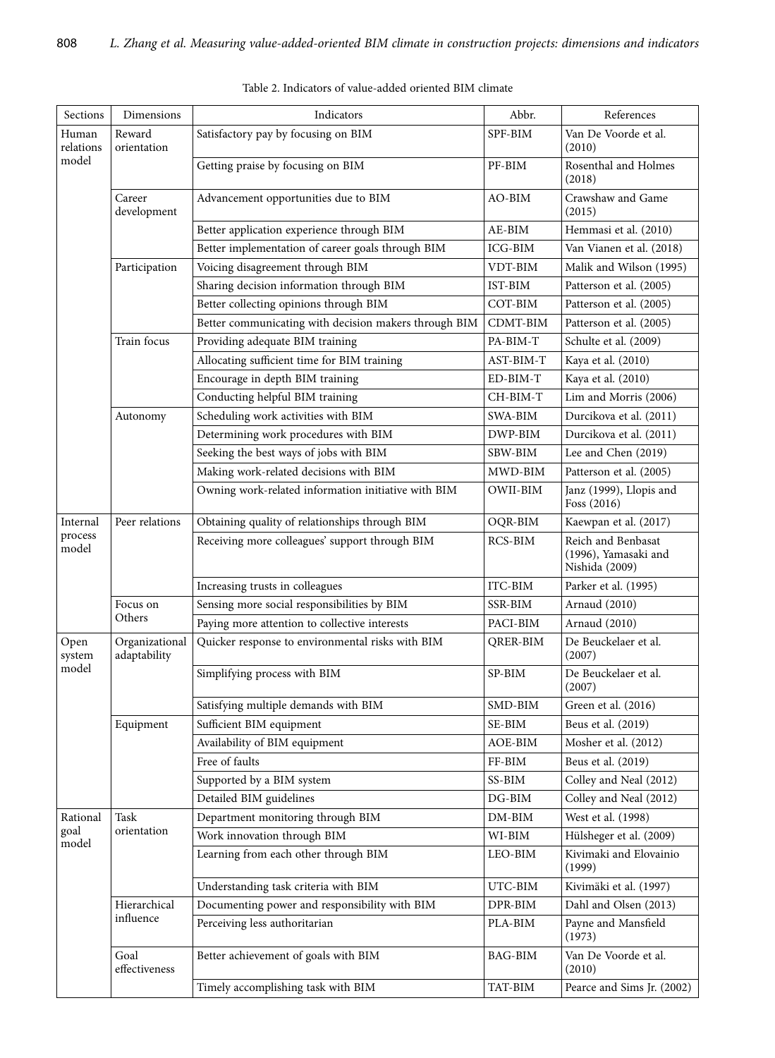| Sections                     | Dimensions                     | Indicators                                            | Abbr.          | References                                                   |
|------------------------------|--------------------------------|-------------------------------------------------------|----------------|--------------------------------------------------------------|
| Human<br>relations<br>model  | Reward<br>orientation          | Satisfactory pay by focusing on BIM                   | SPF-BIM        | Van De Voorde et al.<br>(2010)                               |
|                              |                                | Getting praise by focusing on BIM                     | PF-BIM         | Rosenthal and Holmes<br>(2018)                               |
|                              | Career<br>development          | Advancement opportunities due to BIM                  | AO-BIM         | Crawshaw and Game<br>(2015)                                  |
|                              |                                | Better application experience through BIM             | AE-BIM         | Hemmasi et al. (2010)                                        |
|                              |                                | Better implementation of career goals through BIM     | ICG-BIM        | Van Vianen et al. (2018)                                     |
|                              | Participation                  | Voicing disagreement through BIM                      | VDT-BIM        | Malik and Wilson (1995)                                      |
|                              |                                | Sharing decision information through BIM              | IST-BIM        | Patterson et al. (2005)                                      |
|                              |                                | Better collecting opinions through BIM                | COT-BIM        | Patterson et al. (2005)                                      |
|                              |                                | Better communicating with decision makers through BIM | CDMT-BIM       | Patterson et al. (2005)                                      |
|                              | Train focus                    | Providing adequate BIM training                       | PA-BIM-T       | Schulte et al. (2009)                                        |
|                              |                                | Allocating sufficient time for BIM training           | AST-BIM-T      | Kaya et al. (2010)                                           |
|                              |                                | Encourage in depth BIM training                       | ED-BIM-T       | Kaya et al. (2010)                                           |
|                              |                                | Conducting helpful BIM training                       | CH-BIM-T       | Lim and Morris (2006)                                        |
|                              | Autonomy                       | Scheduling work activities with BIM                   | SWA-BIM        | Durcikova et al. (2011)                                      |
|                              |                                | Determining work procedures with BIM                  | DWP-BIM        | Durcikova et al. (2011)                                      |
|                              |                                | Seeking the best ways of jobs with BIM                | SBW-BIM        | Lee and Chen (2019)                                          |
|                              |                                | Making work-related decisions with BIM                | MWD-BIM        | Patterson et al. (2005)                                      |
|                              |                                | Owning work-related information initiative with BIM   | OWII-BIM       | Janz (1999), Llopis and<br>Foss (2016)                       |
| Internal<br>process<br>model | Peer relations                 | Obtaining quality of relationships through BIM        | OQR-BIM        | Kaewpan et al. (2017)                                        |
|                              |                                | Receiving more colleagues' support through BIM        | RCS-BIM        | Reich and Benbasat<br>(1996), Yamasaki and<br>Nishida (2009) |
|                              |                                | Increasing trusts in colleagues                       | ITC-BIM        | Parker et al. (1995)                                         |
|                              | Focus on                       | Sensing more social responsibilities by BIM           | SSR-BIM        | Arnaud (2010)                                                |
|                              | Others                         | Paying more attention to collective interests         | PACI-BIM       | Arnaud (2010)                                                |
| Open<br>system<br>model      | Organizational<br>adaptability | Quicker response to environmental risks with BIM      | QRER-BIM       | De Beuckelaer et al.<br>(2007)                               |
|                              |                                | Simplifying process with BIM                          | SP-BIM         | De Beuckelaer et al.<br>(2007)                               |
|                              |                                | Satisfying multiple demands with BIM                  | SMD-BIM        | Green et al. (2016)                                          |
|                              | Equipment                      | Sufficient BIM equipment                              | SE-BIM         | Beus et al. (2019)                                           |
|                              |                                | Availability of BIM equipment                         | AOE-BIM        | Mosher et al. (2012)                                         |
|                              |                                | Free of faults                                        | FF-BIM         | Beus et al. (2019)                                           |
|                              |                                | Supported by a BIM system                             | SS-BIM         | Colley and Neal (2012)                                       |
|                              |                                | Detailed BIM guidelines                               | $DG-BIM$       | Colley and Neal (2012)                                       |
| Rational                     | Task                           | Department monitoring through BIM                     | $DM-BIM$       | West et al. (1998)                                           |
| goal<br>model                | orientation                    | Work innovation through BIM                           | WI-BIM         | Hülsheger et al. (2009)                                      |
|                              |                                | Learning from each other through BIM                  | LEO-BIM        | Kivimaki and Elovainio<br>(1999)                             |
|                              |                                | Understanding task criteria with BIM                  | UTC-BIM        | Kivimäki et al. (1997)                                       |
|                              | Hierarchical                   | Documenting power and responsibility with BIM         | DPR-BIM        | Dahl and Olsen (2013)                                        |
|                              | influence                      | Perceiving less authoritarian<br>PLA-BIM<br>(1973)    |                | Payne and Mansfield                                          |
|                              | Goal<br>effectiveness          | Better achievement of goals with BIM                  | <b>BAG-BIM</b> | Van De Voorde et al.<br>(2010)                               |
|                              |                                | Timely accomplishing task with BIM                    | TAT-BIM        | Pearce and Sims Jr. (2002)                                   |

Table 2. Indicators of value-added oriented BIM climate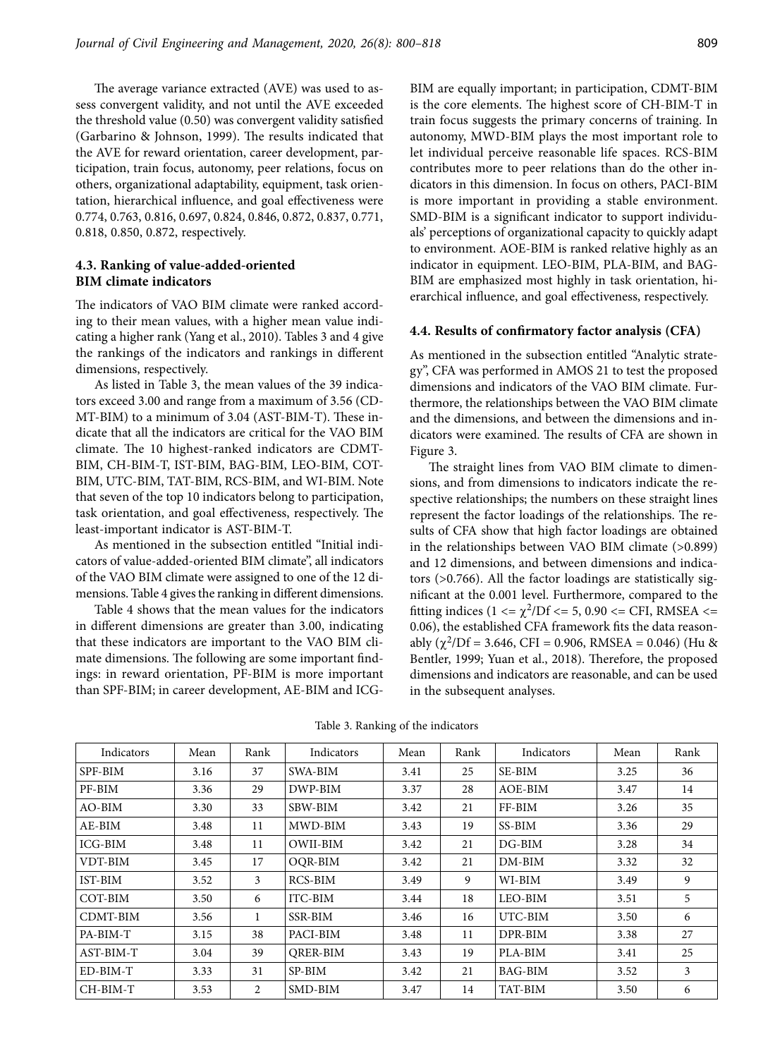The average variance extracted (AVE) was used to assess convergent validity, and not until the AVE exceeded the threshold value (0.50) was convergent validity satisfied (Garbarino & Johnson, 1999). The results indicated that the AVE for reward orientation, career development, participation, train focus, autonomy, peer relations, focus on others, organizational adaptability, equipment, task orientation, hierarchical influence, and goal effectiveness were 0.774, 0.763, 0.816, 0.697, 0.824, 0.846, 0.872, 0.837, 0.771, 0.818, 0.850, 0.872, respectively.

### **4.3. Ranking of value-added-oriented BIM climate indicators**

The indicators of VAO BIM climate were ranked according to their mean values, with a higher mean value indicating a higher rank (Yang et al., 2010). Tables 3 and 4 give the rankings of the indicators and rankings in different dimensions, respectively.

As listed in Table 3, the mean values of the 39 indicators exceed 3.00 and range from a maximum of 3.56 (CD-MT-BIM) to a minimum of 3.04 (AST-BIM-T). These indicate that all the indicators are critical for the VAO BIM climate. The 10 highest-ranked indicators are CDMT-BIM, CH-BIM-T, IST-BIM, BAG-BIM, LEO-BIM, COT-BIM, UTC-BIM, TAT-BIM, RCS-BIM, and WI-BIM. Note that seven of the top 10 indicators belong to participation, task orientation, and goal effectiveness, respectively. The least-important indicator is AST-BIM-T.

As mentioned in the subsection entitled "Initial indicators of value-added-oriented BIM climate", all indicators of the VAO BIM climate were assigned to one of the 12 dimensions. Table 4 gives the ranking in different dimensions.

Table 4 shows that the mean values for the indicators in different dimensions are greater than 3.00, indicating that these indicators are important to the VAO BIM climate dimensions. The following are some important findings: in reward orientation, PF-BIM is more important than SPF-BIM; in career development, AE-BIM and ICG-

BIM are equally important; in participation, CDMT-BIM is the core elements. The highest score of CH-BIM-T in train focus suggests the primary concerns of training. In autonomy, MWD-BIM plays the most important role to let individual perceive reasonable life spaces. RCS-BIM contributes more to peer relations than do the other indicators in this dimension. In focus on others, PACI-BIM is more important in providing a stable environment. SMD-BIM is a significant indicator to support individuals' perceptions of organizational capacity to quickly adapt to environment. AOE-BIM is ranked relative highly as an indicator in equipment. LEO-BIM, PLA-BIM, and BAG-BIM are emphasized most highly in task orientation, hierarchical influence, and goal effectiveness, respectively.

#### **4.4. Results of confirmatory factor analysis (CFA)**

As mentioned in the subsection entitled "Analytic strategy", CFA was performed in AMOS 21 to test the proposed dimensions and indicators of the VAO BIM climate. Furthermore, the relationships between the VAO BIM climate and the dimensions, and between the dimensions and indicators were examined. The results of CFA are shown in Figure 3.

The straight lines from VAO BIM climate to dimensions, and from dimensions to indicators indicate the respective relationships; the numbers on these straight lines represent the factor loadings of the relationships. The results of CFA show that high factor loadings are obtained in the relationships between VAO BIM climate (>0.899) and 12 dimensions, and between dimensions and indicators (>0.766). All the factor loadings are statistically significant at the 0.001 level. Furthermore, compared to the fitting indices (1 <=  $\chi^2$ /Df <= 5, 0.90 <= CFI, RMSEA <= 0.06), the established CFA framework fits the data reasonably ( $\chi^2$ /Df = 3.646, CFI = 0.906, RMSEA = 0.046) (Hu & Bentler, 1999; Yuan et al., 2018). Therefore, the proposed dimensions and indicators are reasonable, and can be used in the subsequent analyses.

| Indicators | Mean | Rank | Indicators      | Mean | Rank | Indicators     | Mean | Rank |
|------------|------|------|-----------------|------|------|----------------|------|------|
| SPF-BIM    | 3.16 | 37   | SWA-BIM         | 3.41 | 25   | SE-BIM         | 3.25 | 36   |
| PF-BIM     | 3.36 | 29   | DWP-BIM         | 3.37 | 28   | AOE-BIM        | 3.47 | 14   |
| AO-BIM     | 3.30 | 33   | <b>SBW-BIM</b>  | 3.42 | 21   | FF-BIM         | 3.26 | 35   |
| AE-BIM     | 3.48 | 11   | MWD-BIM         | 3.43 | 19   | SS-BIM         | 3.36 | 29   |
| ICG-BIM    | 3.48 | 11   | <b>OWII-BIM</b> | 3.42 | 21   | $DG-BIM$       | 3.28 | 34   |
| VDT-BIM    | 3.45 | 17   | OQR-BIM         | 3.42 | 21   | $DM-BIM$       | 3.32 | 32   |
| IST-BIM    | 3.52 | 3    | RCS-BIM         | 3.49 | 9    | WI-BIM         | 3.49 | 9    |
| COT-BIM    | 3.50 | 6    | ITC-BIM         | 3.44 | 18   | LEO-BIM        | 3.51 | 5    |
| CDMT-BIM   | 3.56 | 1    | <b>SSR-BIM</b>  | 3.46 | 16   | UTC-BIM        | 3.50 | 6    |
| PA-BIM-T   | 3.15 | 38   | PACI-BIM        | 3.48 | 11   | DPR-BIM        | 3.38 | 27   |
| AST-BIM-T  | 3.04 | 39   | <b>ORER-BIM</b> | 3.43 | 19   | PLA-BIM        | 3.41 | 25   |
| ED-BIM-T   | 3.33 | 31   | SP-BIM          | 3.42 | 21   | <b>BAG-BIM</b> | 3.52 | 3    |
| CH-BIM-T   | 3.53 | 2    | SMD-BIM         | 3.47 | 14   | TAT-BIM        | 3.50 | 6    |

Table 3. Ranking of the indicators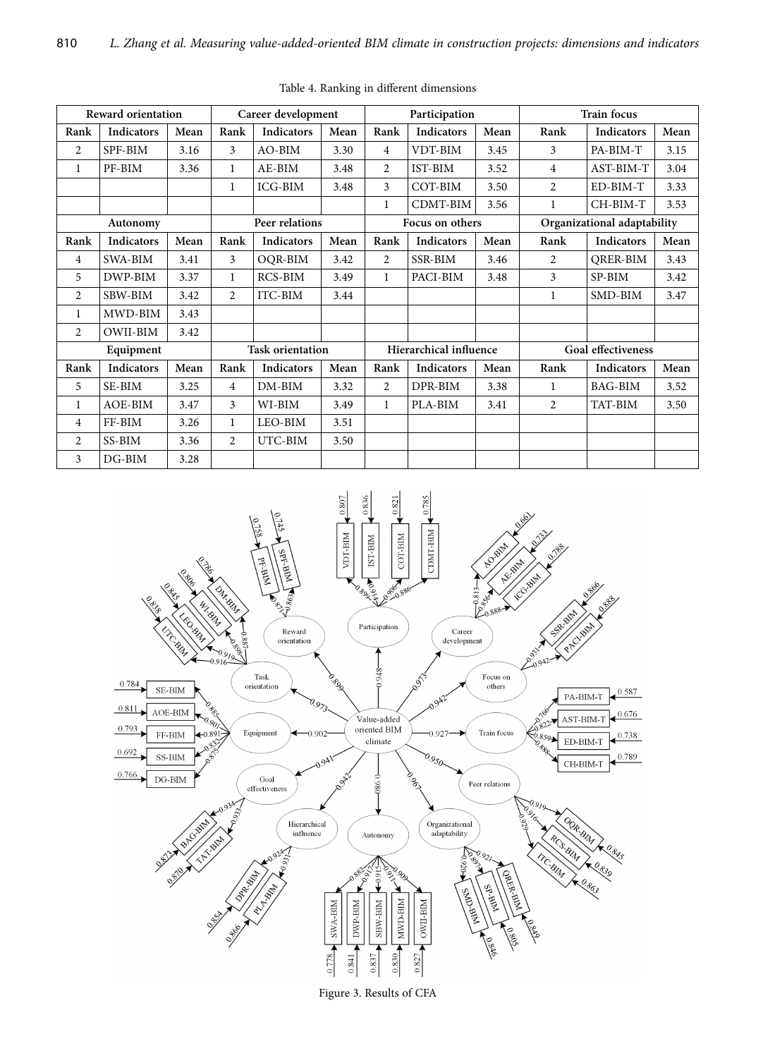| <b>Reward orientation</b> |                   |      | Career development      |                   |      | Participation          |                   |      | <b>Train focus</b>          |                   |      |
|---------------------------|-------------------|------|-------------------------|-------------------|------|------------------------|-------------------|------|-----------------------------|-------------------|------|
| Rank                      | Indicators        | Mean | Rank                    | Indicators        | Mean | Rank                   | <b>Indicators</b> | Mean | Rank                        | <b>Indicators</b> | Mean |
| $\overline{2}$            | SPF-BIM           | 3.16 | 3                       | AO-BIM            | 3.30 | $\overline{4}$         | VDT-BIM           | 3.45 | 3                           | PA-BIM-T          | 3.15 |
| $\mathbf{1}$              | PF-BIM            | 3.36 | $\mathbf{1}$            | AE-BIM            | 3.48 | 2                      | IST-BIM           | 3.52 | 4                           | AST-BIM-T         | 3.04 |
|                           |                   |      | $\mathbf{1}$            | <b>ICG-BIM</b>    | 3.48 | 3                      | COT-BIM           | 3.50 | 2                           | ED-BIM-T          | 3.33 |
|                           |                   |      |                         |                   |      | 1                      | CDMT-BIM          | 3.56 | 1                           | CH-BIM-T          | 3.53 |
| Autonomy                  |                   |      | Peer relations          |                   |      | Focus on others        |                   |      | Organizational adaptability |                   |      |
| Rank                      | <b>Indicators</b> | Mean | Rank                    | <b>Indicators</b> | Mean | Rank                   | Indicators        | Mean | Rank                        | <b>Indicators</b> | Mean |
| 4                         | <b>SWA-BIM</b>    | 3.41 | 3                       | OOR-BIM           | 3.42 | $\overline{2}$         | <b>SSR-BIM</b>    | 3.46 | 2                           | <b>ORER-BIM</b>   | 3.43 |
| 5                         | DWP-BIM           | 3.37 | $\mathbf{1}$            | RCS-BIM           | 3.49 | $\mathbf{1}$           | PACI-BIM          | 3.48 | 3                           | SP-BIM            | 3.42 |
| $\overline{2}$            | SBW-BIM           | 3.42 | $\overline{c}$          | ITC-BIM           | 3.44 |                        |                   |      | 1                           | SMD-BIM           | 3.47 |
| 1                         | MWD-BIM           | 3.43 |                         |                   |      |                        |                   |      |                             |                   |      |
| 2                         | OWII-BIM          | 3.42 |                         |                   |      |                        |                   |      |                             |                   |      |
| Equipment                 |                   |      | <b>Task orientation</b> |                   |      | Hierarchical influence |                   |      | <b>Goal effectiveness</b>   |                   |      |
| Rank                      | <b>Indicators</b> | Mean | Rank                    | Indicators        | Mean | Rank                   | <b>Indicators</b> | Mean | Rank                        | Indicators        | Mean |
| 5                         | SE-BIM            | 3.25 | $\overline{4}$          | $DM-BIM$          | 3.32 | $\overline{2}$         | DPR-BIM           | 3.38 | 1                           | <b>BAG-BIM</b>    | 3.52 |
| 1                         | AOE-BIM           | 3.47 | 3                       | WI-BIM            | 3.49 | $\mathbf{1}$           | PLA-BIM           | 3.41 | $\overline{c}$              | TAT-BIM           | 3.50 |
| 4                         | FF-BIM            | 3.26 | $\mathbf{1}$            | LEO-BIM           | 3.51 |                        |                   |      |                             |                   |      |
| $\overline{2}$            | SS-BIM            | 3.36 | $\overline{c}$          | UTC-BIM           | 3.50 |                        |                   |      |                             |                   |      |
| 3                         | $DG-BIM$          | 3.28 |                         |                   |      |                        |                   |      |                             |                   |      |

Table 4. Ranking in different dimensions



Figure 3. Results of CFA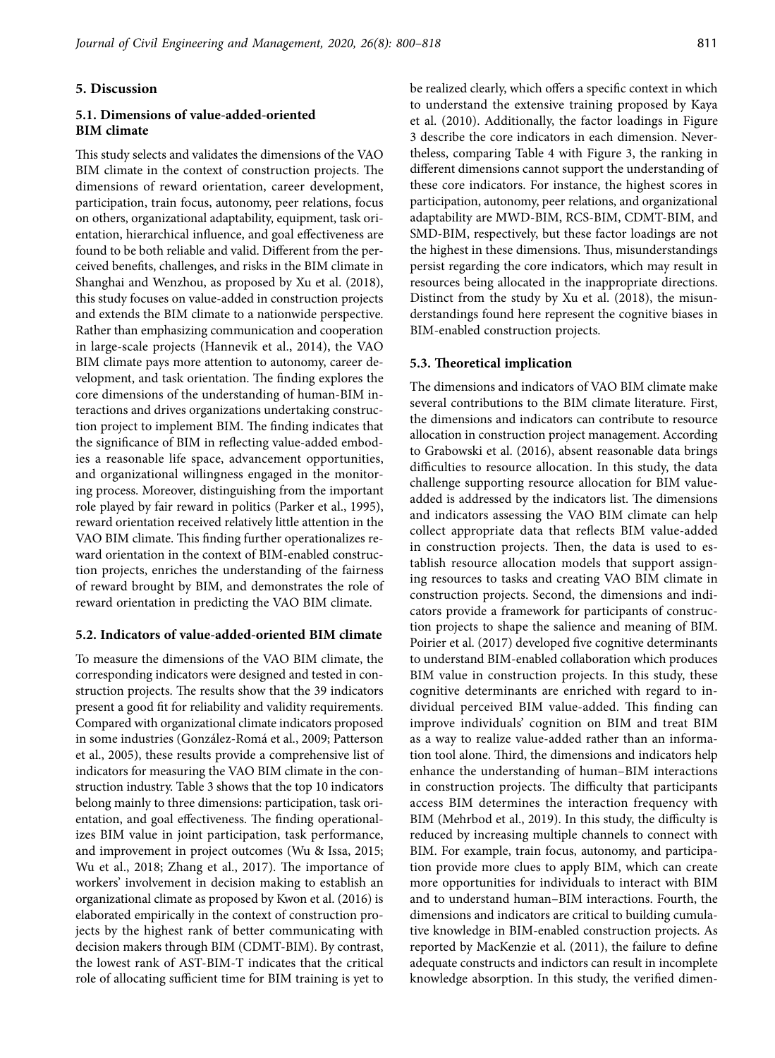### **5. Discussion**

### **5.1. Dimensions of value-added-oriented BIM climate**

This study selects and validates the dimensions of the VAO BIM climate in the context of construction projects. The dimensions of reward orientation, career development, participation, train focus, autonomy, peer relations, focus on others, organizational adaptability, equipment, task orientation, hierarchical influence, and goal effectiveness are found to be both reliable and valid. Different from the perceived benefits, challenges, and risks in the BIM climate in Shanghai and Wenzhou, as proposed by Xu et al. (2018), this study focuses on value-added in construction projects and extends the BIM climate to a nationwide perspective. Rather than emphasizing communication and cooperation in large-scale projects (Hannevik et al., 2014), the VAO BIM climate pays more attention to autonomy, career development, and task orientation. The finding explores the core dimensions of the understanding of human-BIM interactions and drives organizations undertaking construction project to implement BIM. The finding indicates that the significance of BIM in reflecting value-added embodies a reasonable life space, advancement opportunities, and organizational willingness engaged in the monitoring process. Moreover, distinguishing from the important role played by fair reward in politics (Parker et al., 1995), reward orientation received relatively little attention in the VAO BIM climate. This finding further operationalizes reward orientation in the context of BIM-enabled construction projects, enriches the understanding of the fairness of reward brought by BIM, and demonstrates the role of reward orientation in predicting the VAO BIM climate.

#### **5.2. Indicators of value-added-oriented BIM climate**

To measure the dimensions of the VAO BIM climate, the corresponding indicators were designed and tested in construction projects. The results show that the 39 indicators present a good fit for reliability and validity requirements. Compared with organizational climate indicators proposed in some industries (González-Romá et al., 2009; Patterson et al., 2005), these results provide a comprehensive list of indicators for measuring the VAO BIM climate in the construction industry. Table 3 shows that the top 10 indicators belong mainly to three dimensions: participation, task orientation, and goal effectiveness. The finding operationalizes BIM value in joint participation, task performance, and improvement in project outcomes (Wu & Issa, 2015; Wu et al., 2018; Zhang et al., 2017). The importance of workers' involvement in decision making to establish an organizational climate as proposed by Kwon et al. (2016) is elaborated empirically in the context of construction projects by the highest rank of better communicating with decision makers through BIM (CDMT-BIM). By contrast, the lowest rank of AST-BIM-T indicates that the critical role of allocating sufficient time for BIM training is yet to

be realized clearly, which offers a specific context in which to understand the extensive training proposed by Kaya et al. (2010). Additionally, the factor loadings in Figure 3 describe the core indicators in each dimension. Nevertheless, comparing Table 4 with Figure 3, the ranking in different dimensions cannot support the understanding of these core indicators. For instance, the highest scores in participation, autonomy, peer relations, and organizational adaptability are MWD-BIM, RCS-BIM, CDMT-BIM, and SMD-BIM, respectively, but these factor loadings are not the highest in these dimensions. Thus, misunderstandings persist regarding the core indicators, which may result in resources being allocated in the inappropriate directions. Distinct from the study by Xu et al. (2018), the misunderstandings found here represent the cognitive biases in BIM-enabled construction projects.

#### **5.3. Theoretical implication**

The dimensions and indicators of VAO BIM climate make several contributions to the BIM climate literature. First, the dimensions and indicators can contribute to resource allocation in construction project management. According to Grabowski et al. (2016), absent reasonable data brings difficulties to resource allocation. In this study, the data challenge supporting resource allocation for BIM valueadded is addressed by the indicators list. The dimensions and indicators assessing the VAO BIM climate can help collect appropriate data that reflects BIM value-added in construction projects. Then, the data is used to establish resource allocation models that support assigning resources to tasks and creating VAO BIM climate in construction projects. Second, the dimensions and indicators provide a framework for participants of construction projects to shape the salience and meaning of BIM. Poirier et al. (2017) developed five cognitive determinants to understand BIM-enabled collaboration which produces BIM value in construction projects. In this study, these cognitive determinants are enriched with regard to individual perceived BIM value-added. This finding can improve individuals' cognition on BIM and treat BIM as a way to realize value-added rather than an information tool alone. Third, the dimensions and indicators help enhance the understanding of human–BIM interactions in construction projects. The difficulty that participants access BIM determines the interaction frequency with BIM (Mehrbod et al., 2019). In this study, the difficulty is reduced by increasing multiple channels to connect with BIM. For example, train focus, autonomy, and participation provide more clues to apply BIM, which can create more opportunities for individuals to interact with BIM and to understand human–BIM interactions. Fourth, the dimensions and indicators are critical to building cumulative knowledge in BIM-enabled construction projects. As reported by MacKenzie et al. (2011), the failure to define adequate constructs and indictors can result in incomplete knowledge absorption. In this study, the verified dimen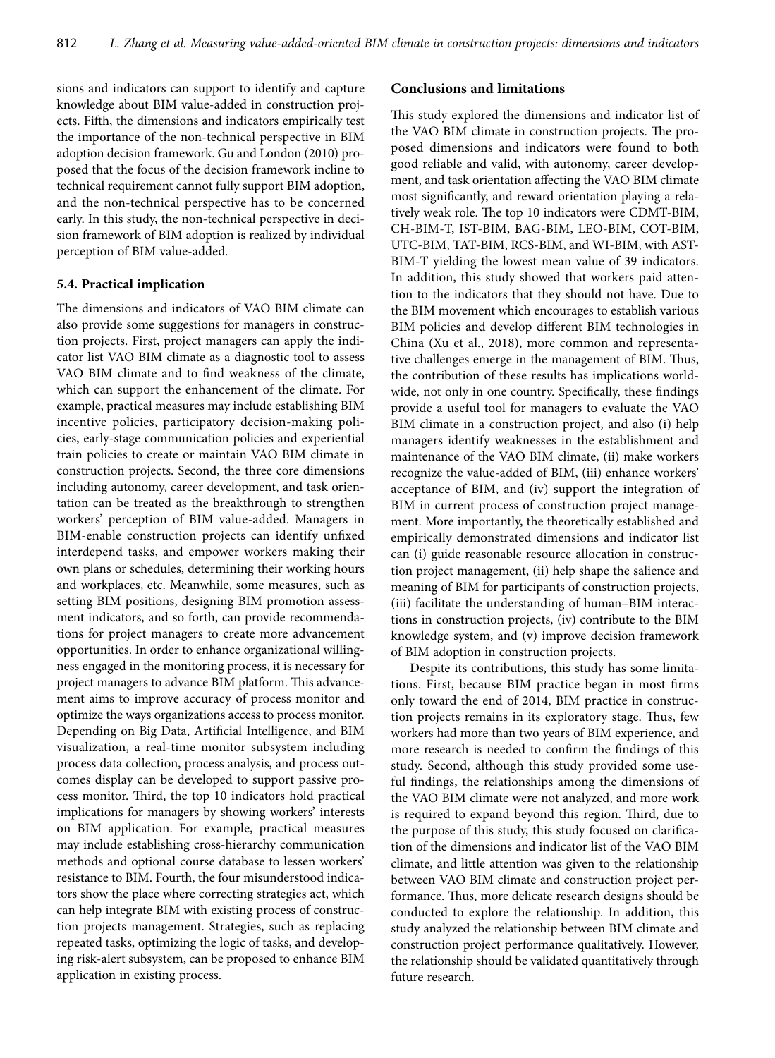sions and indicators can support to identify and capture knowledge about BIM value-added in construction projects. Fifth, the dimensions and indicators empirically test the importance of the non-technical perspective in BIM adoption decision framework. Gu and London (2010) proposed that the focus of the decision framework incline to technical requirement cannot fully support BIM adoption, and the non-technical perspective has to be concerned early. In this study, the non-technical perspective in decision framework of BIM adoption is realized by individual perception of BIM value-added.

### **5.4. Practical implication**

The dimensions and indicators of VAO BIM climate can also provide some suggestions for managers in construction projects. First, project managers can apply the indicator list VAO BIM climate as a diagnostic tool to assess VAO BIM climate and to find weakness of the climate, which can support the enhancement of the climate. For example, practical measures may include establishing BIM incentive policies, participatory decision-making policies, early-stage communication policies and experiential train policies to create or maintain VAO BIM climate in construction projects. Second, the three core dimensions including autonomy, career development, and task orientation can be treated as the breakthrough to strengthen workers' perception of BIM value-added. Managers in BIM-enable construction projects can identify unfixed interdepend tasks, and empower workers making their own plans or schedules, determining their working hours and workplaces, etc. Meanwhile, some measures, such as setting BIM positions, designing BIM promotion assessment indicators, and so forth, can provide recommendations for project managers to create more advancement opportunities. In order to enhance organizational willingness engaged in the monitoring process, it is necessary for project managers to advance BIM platform. This advancement aims to improve accuracy of process monitor and optimize the ways organizations access to process monitor. Depending on Big Data, Artificial Intelligence, and BIM visualization, a real-time monitor subsystem including process data collection, process analysis, and process outcomes display can be developed to support passive process monitor. Third, the top 10 indicators hold practical implications for managers by showing workers' interests on BIM application. For example, practical measures may include establishing cross-hierarchy communication methods and optional course database to lessen workers' resistance to BIM. Fourth, the four misunderstood indicators show the place where correcting strategies act, which can help integrate BIM with existing process of construction projects management. Strategies, such as replacing repeated tasks, optimizing the logic of tasks, and developing risk-alert subsystem, can be proposed to enhance BIM application in existing process.

### **Conclusions and limitations**

This study explored the dimensions and indicator list of the VAO BIM climate in construction projects. The proposed dimensions and indicators were found to both good reliable and valid, with autonomy, career development, and task orientation affecting the VAO BIM climate most significantly, and reward orientation playing a relatively weak role. The top 10 indicators were CDMT-BIM, CH-BIM-T, IST-BIM, BAG-BIM, LEO-BIM, COT-BIM, UTC-BIM, TAT-BIM, RCS-BIM, and WI-BIM, with AST-BIM-T yielding the lowest mean value of 39 indicators. In addition, this study showed that workers paid attention to the indicators that they should not have. Due to the BIM movement which encourages to establish various BIM policies and develop different BIM technologies in China (Xu et al., 2018), more common and representative challenges emerge in the management of BIM. Thus, the contribution of these results has implications worldwide, not only in one country. Specifically, these findings provide a useful tool for managers to evaluate the VAO BIM climate in a construction project, and also (i) help managers identify weaknesses in the establishment and maintenance of the VAO BIM climate, (ii) make workers recognize the value-added of BIM, (iii) enhance workers' acceptance of BIM, and (iv) support the integration of BIM in current process of construction project management. More importantly, the theoretically established and empirically demonstrated dimensions and indicator list can (i) guide reasonable resource allocation in construction project management, (ii) help shape the salience and meaning of BIM for participants of construction projects, (iii) facilitate the understanding of human–BIM interactions in construction projects, (iv) contribute to the BIM knowledge system, and (v) improve decision framework of BIM adoption in construction projects.

Despite its contributions, this study has some limitations. First, because BIM practice began in most firms only toward the end of 2014, BIM practice in construction projects remains in its exploratory stage. Thus, few workers had more than two years of BIM experience, and more research is needed to confirm the findings of this study. Second, although this study provided some useful findings, the relationships among the dimensions of the VAO BIM climate were not analyzed, and more work is required to expand beyond this region. Third, due to the purpose of this study, this study focused on clarification of the dimensions and indicator list of the VAO BIM climate, and little attention was given to the relationship between VAO BIM climate and construction project performance. Thus, more delicate research designs should be conducted to explore the relationship. In addition, this study analyzed the relationship between BIM climate and construction project performance qualitatively. However, the relationship should be validated quantitatively through future research.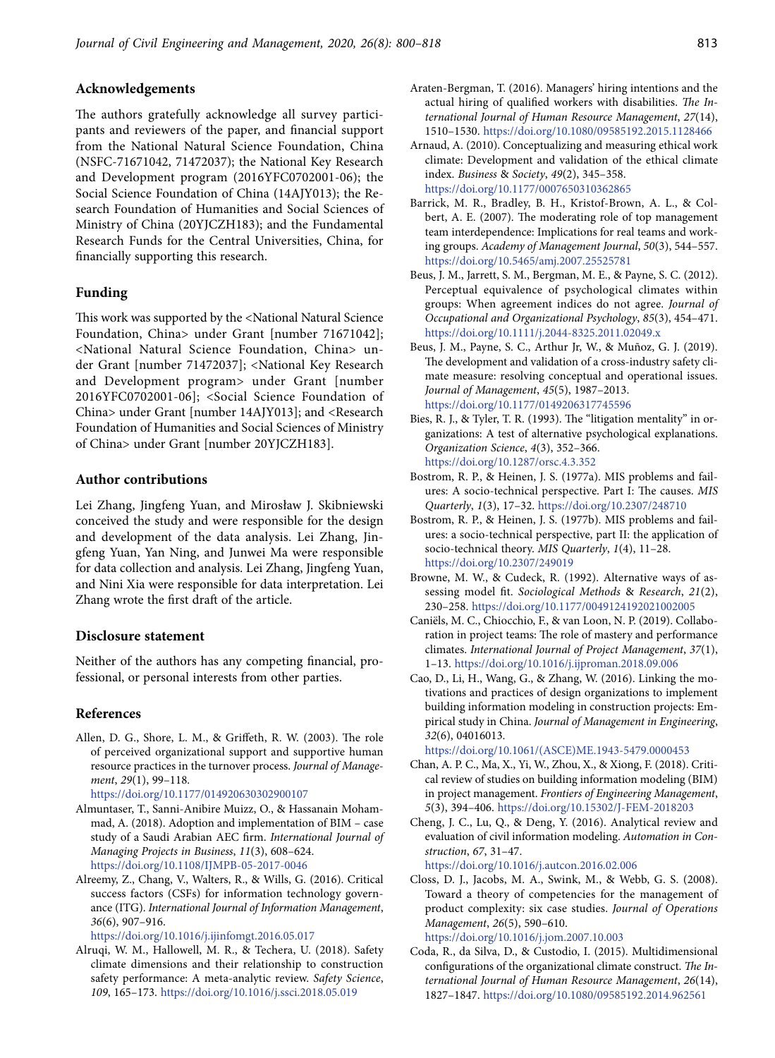## **Acknowledgements**

The authors gratefully acknowledge all survey participants and reviewers of the paper, and financial support from the National Natural Science Foundation, China (NSFC-71671042, 71472037); the National Key Research and Development program (2016YFC0702001-06); the Social Science Foundation of China (14AJY013); the Research Foundation of Humanities and Social Sciences of Ministry of China (20YJCZH183); and the Fundamental Research Funds for the Central Universities, China, for financially supporting this research.

### **Funding**

This work was supported by the <National Natural Science Foundation, China> under Grant [number 71671042]; <National Natural Science Foundation, China> under Grant [number 71472037]; <National Key Research and Development program> under Grant [number 2016YFC0702001-06]; <Social Science Foundation of China> under Grant [number 14AJY013]; and <Research Foundation of Humanities and Social Sciences of Ministry of China> under Grant [number 20YJCZH183].

## **Author contributions**

Lei Zhang, Jingfeng Yuan, and Mirosław J. Skibniewski conceived the study and were responsible for the design and development of the data analysis. Lei Zhang, Jingfeng Yuan, Yan Ning, and Junwei Ma were responsible for data collection and analysis. Lei Zhang, Jingfeng Yuan, and Nini Xia were responsible for data interpretation. Lei Zhang wrote the first draft of the article.

# **Disclosure statement**

Neither of the authors has any competing financial, professional, or personal interests from other parties.

## **References**

- Allen, D. G., Shore, L. M., & Griffeth, R. W. (2003). The role of perceived organizational support and supportive human resource practices in the turnover process. *Journal of Management*, *29*(1), 99–118.
	- [https://doi.org/10.1177/014920630302900107](https://doi.org/10.1177/014920630302900107 )
- Almuntaser, T., Sanni-Anibire Muizz, O., & Hassanain Mohammad, A. (2018). Adoption and implementation of BIM – case study of a Saudi Arabian AEC firm. *International Journal of Managing Projects in Business*, *11*(3), 608–624. <https://doi.org/10.1108/IJMPB-05-2017-0046>
- Alreemy, Z., Chang, V., Walters, R., & Wills, G. (2016). Critical success factors (CSFs) for information technology governance (ITG). *International Journal of Information Management*, *36*(6), 907–916.

<https://doi.org/10.1016/j.ijinfomgt.2016.05.017>

Alruqi, W. M., Hallowell, M. R., & Techera, U. (2018). Safety climate dimensions and their relationship to construction safety performance: A meta-analytic review. *Safety Science*, *109*, 165–173. <https://doi.org/10.1016/j.ssci.2018.05.019>

- Araten-Bergman, T. (2016). Managers' hiring intentions and the actual hiring of qualified workers with disabilities. *The International Journal of Human Resource Management*, *27*(14), 1510–1530. <https://doi.org/10.1080/09585192.2015.1128466>
- Arnaud, A. (2010). Conceptualizing and measuring ethical work climate: Development and validation of the ethical climate index. *Business* & *Society*, *49*(2), 345–358. <https://doi.org/10.1177/0007650310362865>
- Barrick, M. R., Bradley, B. H., Kristof-Brown, A. L., & Colbert, A. E. (2007). The moderating role of top management team interdependence: Implications for real teams and working groups. *Academy of Management Journal*, *50*(3), 544–557. <https://doi.org/10.5465/amj.2007.25525781>
- Beus, J. M., Jarrett, S. M., Bergman, M. E., & Payne, S. C. (2012). Perceptual equivalence of psychological climates within groups: When agreement indices do not agree. *Journal of Occupational and Organizational Psychology*, *85*(3), 454–471. <https://doi.org/10.1111/j.2044-8325.2011.02049.x>
- Beus, J. M., Payne, S. C., Arthur Jr, W., & Muñoz, G. J. (2019). The development and validation of a cross-industry safety climate measure: resolving conceptual and operational issues. *Journal of Management*, *45*(5), 1987–2013. <https://doi.org/10.1177/0149206317745596>
- Bies, R. J., & Tyler, T. R. (1993). The "litigation mentality" in organizations: A test of alternative psychological explanations. *Organization Science*, *4*(3), 352–366. <https://doi.org/10.1287/orsc.4.3.352>
- Bostrom, R. P., & Heinen, J. S. (1977a). MIS problems and failures: A socio-technical perspective. Part I: The causes. *MIS Quarterly*, *1*(3), 17–32. <https://doi.org/10.2307/248710>
- Bostrom, R. P., & Heinen, J. S. (1977b). MIS problems and failures: a socio-technical perspective, part II: the application of socio-technical theory. *MIS Quarterly*, *1*(4), 11–28. <https://doi.org/10.2307/249019>
- Browne, M. W., & Cudeck, R. (1992). Alternative ways of assessing model fit. *Sociological Methods* & *Research*, *21*(2), 230–258. <https://doi.org/10.1177/0049124192021002005>
- Caniëls, M. C., Chiocchio, F., & van Loon, N. P. (2019). Collaboration in project teams: The role of mastery and performance climates. *International Journal of Project Management*, *37*(1), 1–13. <https://doi.org/10.1016/j.ijproman.2018.09.006>
- Cao, D., Li, H., Wang, G., & Zhang, W. (2016). Linking the motivations and practices of design organizations to implement building information modeling in construction projects: Empirical study in China. *Journal of Management in Engineering*, *32*(6), 04016013.

[https://doi.org/10.1061/\(ASCE\)ME.1943-5479.0000453](https://doi.org/10.1061/(ASCE)ME.1943-5479.0000453)

- Chan, A. P. C., Ma, X., Yi, W., Zhou, X., & Xiong, F. (2018). Critical review of studies on building information modeling (BIM) in project management. *Frontiers of Engineering Management*, *5*(3), 394–406. <https://doi.org/10.15302/J-FEM-2018203>
- Cheng, J. C., Lu, Q., & Deng, Y. (2016). Analytical review and evaluation of civil information modeling. *Automation in Construction*, *67*, 31–47.

[https://doi.org/10.1016/j.autcon.2016.02.006](https://doi.org/10.1016/j.autcon.2016.02.006 )

Closs, D. J., Jacobs, M. A., Swink, M., & Webb, G. S. (2008). Toward a theory of competencies for the management of product complexity: six case studies. *Journal of Operations Management*, *26*(5), 590–610. <https://doi.org/10.1016/j.jom.2007.10.003>

Coda, R., da Silva, D., & Custodio, I. (2015). Multidimensional configurations of the organizational climate construct. *The International Journal of Human Resource Management*, *26*(14), 1827–1847. <https://doi.org/10.1080/09585192.2014.962561>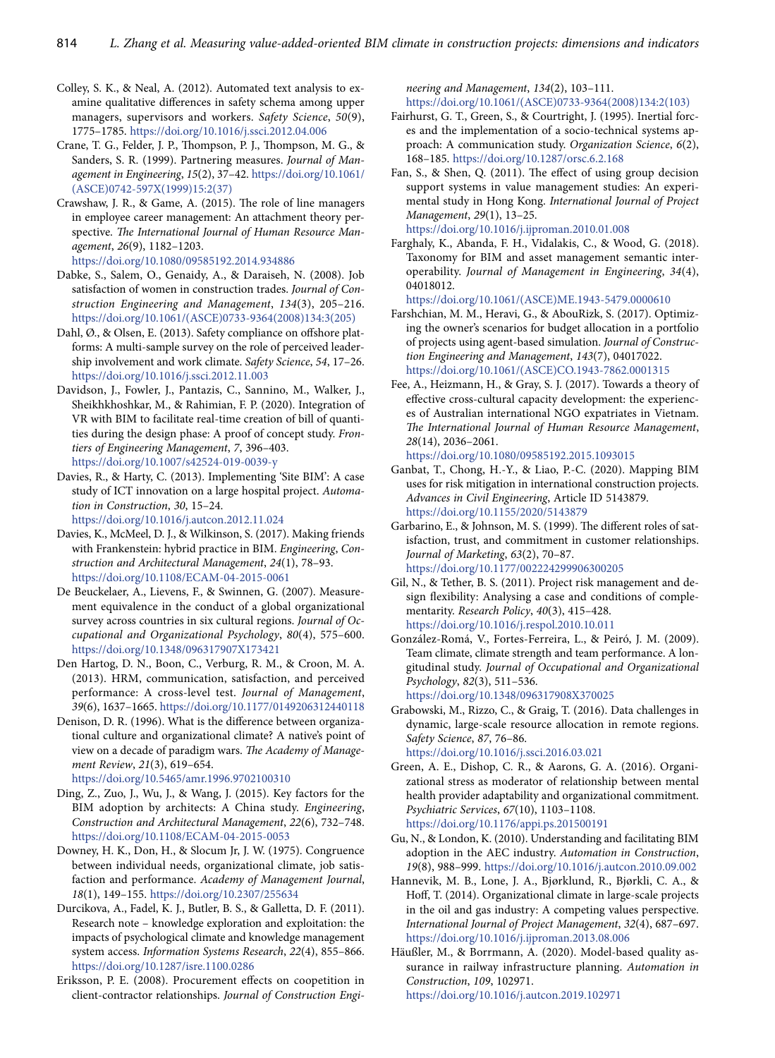- Colley, S. K., & Neal, A. (2012). Automated text analysis to examine qualitative differences in safety schema among upper managers, supervisors and workers. *Safety Science*, *50*(9), 1775–1785. <https://doi.org/10.1016/j.ssci.2012.04.006>
- Crane, T. G., Felder, J. P., Thompson, P. J., Thompson, M. G., & Sanders, S. R. (1999). Partnering measures. *Journal of Management in Engineering*, *15*(2), 37–42. [https://doi.org/10.1061/](https://doi.org/10.1061/(ASCE)0742-597X(1999)15:2(37)) [\(ASCE\)0742-597X\(1999\)15:2\(37\)](https://doi.org/10.1061/(ASCE)0742-597X(1999)15:2(37))
- Crawshaw, J. R., & Game, A. (2015). The role of line managers in employee career management: An attachment theory perspective. *The International Journal of Human Resource Management*, *26*(9), 1182–1203.

<https://doi.org/10.1080/09585192.2014.934886>

- Dabke, S., Salem, O., Genaidy, A., & Daraiseh, N. (2008). Job satisfaction of women in construction trades. *Journal of Construction Engineering and Management*, *134*(3), 205–216. [https://doi.org/10.1061/\(ASCE\)0733-9364\(2008\)134:3\(205\)](https://doi.org/10.1061/(ASCE)0733-9364(2008)134:3(205))
- Dahl, Ø., & Olsen, E. (2013). Safety compliance on offshore platforms: A multi-sample survey on the role of perceived leadership involvement and work climate. *Safety Science*, *54*, 17–26. <https://doi.org/10.1016/j.ssci.2012.11.003>
- Davidson, J., Fowler, J., Pantazis, C., Sannino, M., Walker, J., Sheikhkhoshkar, M., & Rahimian, F. P. (2020). Integration of VR with BIM to facilitate real-time creation of bill of quantities during the design phase: A proof of concept study. *Frontiers of Engineering Management*, *7*, 396–403. <https://doi.org/10.1007/s42524-019-0039-y>
- Davies, R., & Harty, C. (2013). Implementing 'Site BIM': A case study of ICT innovation on a large hospital project. *Automation in Construction*, *30*, 15–24. <https://doi.org/10.1016/j.autcon.2012.11.024>
- Davies, K., McMeel, D. J., & Wilkinson, S. (2017). Making friends with Frankenstein: hybrid practice in BIM. *Engineering*, *Construction and Architectural Management*, *24*(1), 78–93. <https://doi.org/10.1108/ECAM-04-2015-0061>
- De Beuckelaer, A., Lievens, F., & Swinnen, G. (2007). Measurement equivalence in the conduct of a global organizational survey across countries in six cultural regions. *Journal of Occupational and Organizational Psychology*, *80*(4), 575–600. <https://doi.org/10.1348/096317907X173421>
- Den Hartog, D. N., Boon, C., Verburg, R. M., & Croon, M. A. (2013). HRM, communication, satisfaction, and perceived performance: A cross-level test. *Journal of Management*, *39*(6), 1637–1665. <https://doi.org/10.1177/0149206312440118>
- Denison, D. R. (1996). What is the difference between organizational culture and organizational climate? A native's point of view on a decade of paradigm wars. *The Academy of Management Review*, *21*(3), 619–654.

<https://doi.org/10.5465/amr.1996.9702100310>

- Ding, Z., Zuo, J., Wu, J., & Wang, J. (2015). Key factors for the BIM adoption by architects: A China study. *Engineering*, *Construction and Architectural Management*, *22*(6), 732–748. <https://doi.org/10.1108/ECAM-04-2015-0053>
- Downey, H. K., Don, H., & Slocum Jr, J. W. (1975). Congruence between individual needs, organizational climate, job satisfaction and performance. *Academy of Management Journal*, *18*(1), 149–155. <https://doi.org/10.2307/255634>
- Durcikova, A., Fadel, K. J., Butler, B. S., & Galletta, D. F. (2011). Research note – knowledge exploration and exploitation: the impacts of psychological climate and knowledge management system access. *Information Systems Research*, *22*(4), 855–866. <https://doi.org/10.1287/isre.1100.0286>
- Eriksson, P. E. (2008). Procurement effects on coopetition in client-contractor relationships. *Journal of Construction Engi-*

*neering and Management*, *134*(2), 103–111. [https://doi.org/10.1061/\(ASCE\)0733-9364\(2008\)134:2\(103\)](https://doi.org/10.1061/(ASCE)0733-9364(2008)134:2(103))

- Fairhurst, G. T., Green, S., & Courtright, J. (1995). Inertial forces and the implementation of a socio-technical systems approach: A communication study. *Organization Science*, *6*(2), 168–185. <https://doi.org/10.1287/orsc.6.2.168>
- Fan, S., & Shen, Q. (2011). The effect of using group decision support systems in value management studies: An experimental study in Hong Kong. *International Journal of Project Management*, *29*(1), 13–25. <https://doi.org/10.1016/j.ijproman.2010.01.008>
- Farghaly, K., Abanda, F. H., Vidalakis, C., & Wood, G. (2018). Taxonomy for BIM and asset management semantic interoperability. *Journal of Management in Engineering*, *34*(4), 04018012.

[https://doi.org/10.1061/\(ASCE\)ME.1943-5479.0000610](https://doi.org/10.1061/(ASCE)ME.1943-5479.0000610)

- Farshchian, M. M., Heravi, G., & AbouRizk, S. (2017). Optimizing the owner's scenarios for budget allocation in a portfolio of projects using agent-based simulation. *Journal of Construction Engineering and Management*, *143*(7), 04017022. [https://doi.org/10.1061/\(ASCE\)CO.1943-7862.0001315](https://doi.org/10.1061/(ASCE)CO.1943-7862.0001315)
- Fee, A., Heizmann, H., & Gray, S. J. (2017). Towards a theory of effective cross-cultural capacity development: the experiences of Australian international NGO expatriates in Vietnam. *The International Journal of Human Resource Management*, *28*(14), 2036–2061.

<https://doi.org/10.1080/09585192.2015.1093015>

- Ganbat, T., Chong, H.-Y., & Liao, P.-C. (2020). Mapping BIM uses for risk mitigation in international construction projects. *Advances in Civil Engineering*, Article ID 5143879. <https://doi.org/10.1155/2020/5143879>
- Garbarino, E., & Johnson, M. S. (1999). The different roles of satisfaction, trust, and commitment in customer relationships. *Journal of Marketing*, *63*(2), 70–87. <https://doi.org/10.1177/002224299906300205>
- Gil, N., & Tether, B. S. (2011). Project risk management and design flexibility: Analysing a case and conditions of complementarity. *Research Policy*, *40*(3), 415–428. <https://doi.org/10.1016/j.respol.2010.10.011>
- González-Romá, V., Fortes-Ferreira, L., & Peiró, J. M. (2009). Team climate, climate strength and team performance. A longitudinal study. *Journal of Occupational and Organizational Psychology*, *82*(3), 511–536. <https://doi.org/10.1348/096317908X370025>
- Grabowski, M., Rizzo, C., & Graig, T. (2016). Data challenges in dynamic, large-scale resource allocation in remote regions. *Safety Science*, *87*, 76–86. <https://doi.org/10.1016/j.ssci.2016.03.021>
- Green, A. E., Dishop, C. R., & Aarons, G. A. (2016). Organizational stress as moderator of relationship between mental health provider adaptability and organizational commitment. *Psychiatric Services*, *67*(10), 1103–1108. <https://doi.org/10.1176/appi.ps.201500191>
- Gu, N., & London, K. (2010). Understanding and facilitating BIM adoption in the AEC industry. *Automation in Construction*, *19*(8), 988–999.<https://doi.org/10.1016/j.autcon.2010.09.002>
- Hannevik, M. B., Lone, J. A., Bjørklund, R., Bjørkli, C. A., & Hoff, T. (2014). Organizational climate in large-scale projects in the oil and gas industry: A competing values perspective. *International Journal of Project Management*, *32*(4), 687–697. <https://doi.org/10.1016/j.ijproman.2013.08.006>
- Häußler, M., & Borrmann, A. (2020). Model-based quality assurance in railway infrastructure planning. *Automation in Construction*, *109*, 102971. <https://doi.org/10.1016/j.autcon.2019.102971>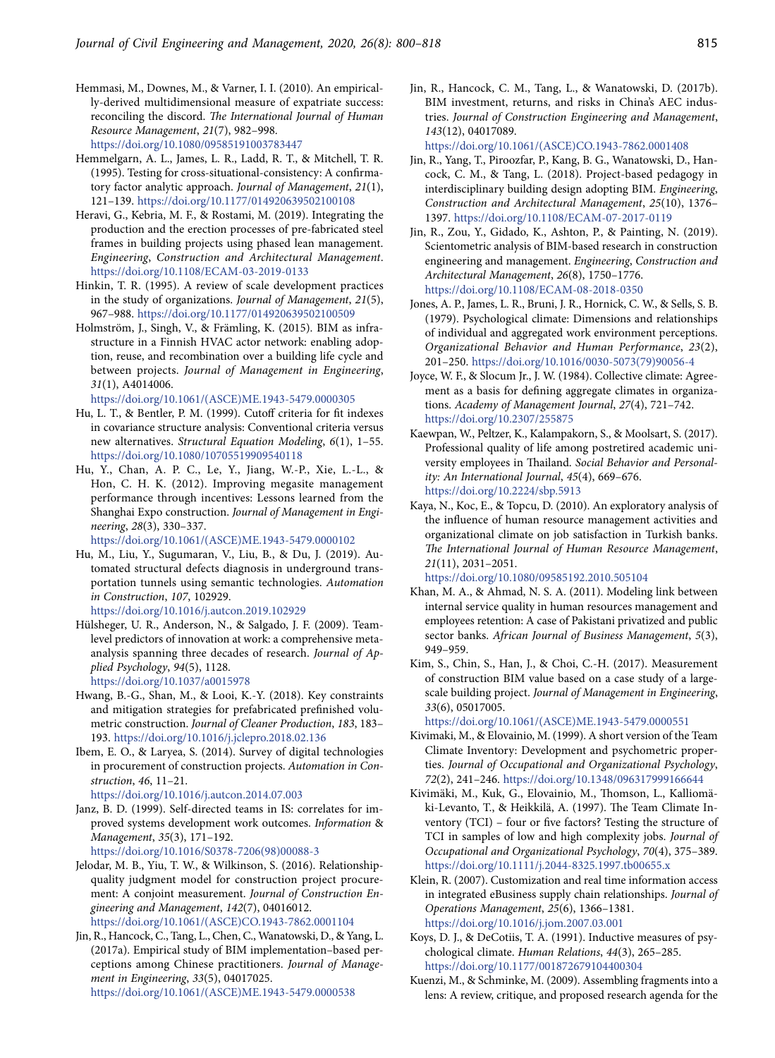- Hemmasi, M., Downes, M., & Varner, I. I. (2010). An empirically-derived multidimensional measure of expatriate success: reconciling the discord. *The International Journal of Human Resource Management*, *21*(7), 982–998. <https://doi.org/10.1080/09585191003783447>
- Hemmelgarn, A. L., James, L. R., Ladd, R. T., & Mitchell, T. R. (1995). Testing for cross-situational-consistency: A confirmatory factor analytic approach. *Journal of Management*, *21*(1), 121–139. <https://doi.org/10.1177/014920639502100108>
- Heravi, G., Kebria, M. F., & Rostami, M. (2019). Integrating the production and the erection processes of pre-fabricated steel frames in building projects using phased lean management. *Engineering*, *Construction and Architectural Management*. <https://doi.org/10.1108/ECAM-03-2019-0133>
- Hinkin, T. R. (1995). A review of scale development practices in the study of organizations. *Journal of Management*, *21*(5), 967–988. <https://doi.org/10.1177/014920639502100509>
- Holmström, J., Singh, V., & Främling, K. (2015). BIM as infrastructure in a Finnish HVAC actor network: enabling adoption, reuse, and recombination over a building life cycle and between projects. *Journal of Management in Engineering*, *31*(1), A4014006.

[https://doi.org/10.1061/\(ASCE\)ME.1943-5479.0000305](https://doi.org/10.1061/(ASCE)ME.1943-5479.0000305)

- Hu, L. T., & Bentler, P. M. (1999). Cutoff criteria for fit indexes in covariance structure analysis: Conventional criteria versus new alternatives. *Structural Equation Modeling*, *6*(1), 1–55. <https://doi.org/10.1080/10705519909540118>
- Hu, Y., Chan, A. P. C., Le, Y., Jiang, W.-P., Xie, L.-L., & Hon, C. H. K. (2012). Improving megasite management performance through incentives: Lessons learned from the Shanghai Expo construction. *Journal of Management in Engineering*, *28*(3), 330–337.

[https://doi.org/10.1061/\(ASCE\)ME.1943-5479.0000102](https://doi.org/10.1061/(ASCE)ME.1943-5479.0000102)

- Hu, M., Liu, Y., Sugumaran, V., Liu, B., & Du, J. (2019). Automated structural defects diagnosis in underground transportation tunnels using semantic technologies. *Automation in Construction*, *107*, 102929. <https://doi.org/10.1016/j.autcon.2019.102929>
- Hülsheger, U. R., Anderson, N., & Salgado, J. F. (2009). Teamlevel predictors of innovation at work: a comprehensive metaanalysis spanning three decades of research. *Journal of Applied Psychology*, *94*(5), 1128. <https://doi.org/10.1037/a0015978>
- Hwang, B.-G., Shan, M., & Looi, K.-Y. (2018). Key constraints and mitigation strategies for prefabricated prefinished volumetric construction. *Journal of Cleaner Production*, *183*, 183– 193.<https://doi.org/10.1016/j.jclepro.2018.02.136>
- Ibem, E. O., & Laryea, S. (2014). Survey of digital technologies in procurement of construction projects. *Automation in Construction*, *46*, 11–21.
- <https://doi.org/10.1016/j.autcon.2014.07.003> Janz, B. D. (1999). Self-directed teams in IS: correlates for improved systems development work outcomes. *Information* &
- *Management*, *35*(3), 171–192. [https://doi.org/10.1016/S0378-7206\(98\)00088-3](https://doi.org/10.1016/S0378-7206(98)00088-3)
- Jelodar, M. B., Yiu, T. W., & Wilkinson, S. (2016). Relationshipquality judgment model for construction project procurement: A conjoint measurement. *Journal of Construction Engineering and Management*, *142*(7), 04016012. [https://doi.org/10.1061/\(ASCE\)CO.1943-7862.0001104](https://doi.org/10.1061/(ASCE)CO.1943-7862.0001104)
- Jin, R., Hancock, C., Tang, L., Chen, C., Wanatowski, D., & Yang, L. (2017a). Empirical study of BIM implementation–based perceptions among Chinese practitioners. *Journal of Management in Engineering*, *33*(5), 04017025. [https://doi.org/10.1061/\(ASCE\)ME.1943-5479.0000538](https://doi.org/10.1061/(ASCE)ME.1943-5479.0000538)

Jin, R., Hancock, C. M., Tang, L., & Wanatowski, D. (2017b). BIM investment, returns, and risks in China's AEC industries. *Journal of Construction Engineering and Management*, *143*(12), 04017089.

[https://doi.org/10.1061/\(ASCE\)CO.1943-7862.0001408](https://doi.org/10.1061/(ASCE)CO.1943-7862.0001408)

- Jin, R., Yang, T., Piroozfar, P., Kang, B. G., Wanatowski, D., Hancock, C. M., & Tang, L. (2018). Project-based pedagogy in interdisciplinary building design adopting BIM. *Engineering*, *Construction and Architectural Management*, *25*(10), 1376– 1397. <https://doi.org/10.1108/ECAM-07-2017-0119>
- Jin, R., Zou, Y., Gidado, K., Ashton, P., & Painting, N. (2019). Scientometric analysis of BIM-based research in construction engineering and management. *Engineering*, *Construction and Architectural Management*, *26*(8), 1750–1776. <https://doi.org/10.1108/ECAM-08-2018-0350>
- Jones, A. P., James, L. R., Bruni, J. R., Hornick, C. W., & Sells, S. B. (1979). Psychological climate: Dimensions and relationships of individual and aggregated work environment perceptions. *Organizational Behavior and Human Performance*, *23*(2), 201–250. [https://doi.org/10.1016/0030-5073\(79\)90056-4](https://doi.org/10.1016/0030-5073(79)90056-4)
- Joyce, W. F., & Slocum Jr., J. W. (1984). Collective climate: Agreement as a basis for defining aggregate climates in organizations. *Academy of Management Journal*, *27*(4), 721–742. <https://doi.org/10.2307/255875>
- Kaewpan, W., Peltzer, K., Kalampakorn, S., & Moolsart, S. (2017). Professional quality of life among postretired academic university employees in Thailand. *Social Behavior and Personality: An International Journal*, *45*(4), 669–676. <https://doi.org/10.2224/sbp.5913>
- Kaya, N., Koc, E., & Topcu, D. (2010). An exploratory analysis of the influence of human resource management activities and organizational climate on job satisfaction in Turkish banks. *The International Journal of Human Resource Management*, *21*(11), 2031–2051.

<https://doi.org/10.1080/09585192.2010.505104>

- Khan, M. A., & Ahmad, N. S. A. (2011). Modeling link between internal service quality in human resources management and employees retention: A case of Pakistani privatized and public sector banks. *African Journal of Business Management*, *5*(3), 949–959.
- Kim, S., Chin, S., Han, J., & Choi, C.-H. (2017). Measurement of construction BIM value based on a case study of a largescale building project. *Journal of Management in Engineering*, *33*(6), 05017005.

[https://doi.org/10.1061/\(ASCE\)ME.1943-5479.0000551](https://doi.org/10.1061/(ASCE)ME.1943-5479.0000551)

- Kivimaki, M., & Elovainio, M. (1999). A short version of the Team Climate Inventory: Development and psychometric properties. *Journal of Occupational and Organizational Psychology*, *72*(2), 241–246. <https://doi.org/10.1348/096317999166644>
- Kivimäki, M., Kuk, G., Elovainio, M., Thomson, L., Kalliomäki‐Levanto, T., & Heikkilä, A. (1997). The Team Climate Inventory (TCI) – four or five factors? Testing the structure of TCI in samples of low and high complexity jobs. *Journal of Occupational and Organizational Psychology*, *70*(4), 375–389. <https://doi.org/10.1111/j.2044-8325.1997.tb00655.x>
- Klein, R. (2007). Customization and real time information access in integrated eBusiness supply chain relationships. *Journal of Operations Management*, *25*(6), 1366–1381. <https://doi.org/10.1016/j.jom.2007.03.001>
- Koys, D. J., & DeCotiis, T. A. (1991). Inductive measures of psychological climate. *Human Relations*, *44*(3), 265–285. <https://doi.org/10.1177/001872679104400304>
- Kuenzi, M., & Schminke, M. (2009). Assembling fragments into a lens: A review, critique, and proposed research agenda for the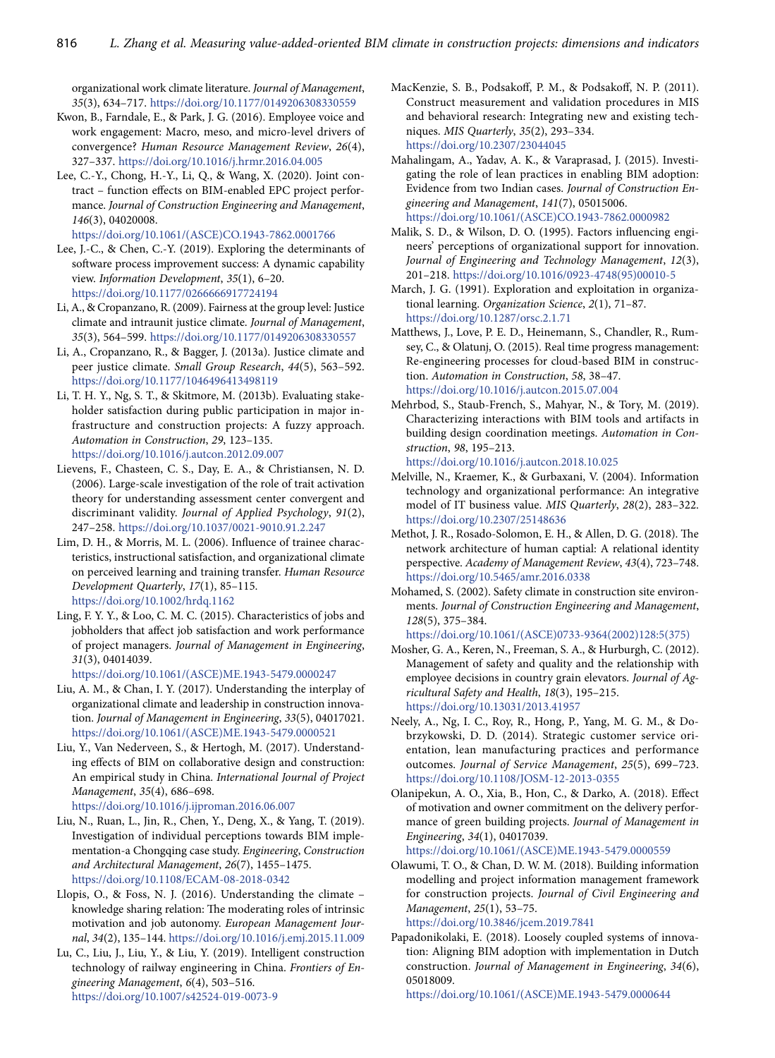organizational work climate literature. *Journal of Management*, *35*(3), 634–717. <https://doi.org/10.1177/0149206308330559>

- Kwon, B., Farndale, E., & Park, J. G. (2016). Employee voice and work engagement: Macro, meso, and micro-level drivers of convergence? *Human Resource Management Review*, *26*(4), 327–337. <https://doi.org/10.1016/j.hrmr.2016.04.005>
- Lee, C.-Y., Chong, H.-Y., Li, Q., & Wang, X. (2020). Joint contract – function effects on BIM-enabled EPC project performance. *Journal of Construction Engineering and Management*, *146*(3), 04020008.

[https://doi.org/10.1061/\(ASCE\)CO.1943-7862.0001766](https://doi.org/10.1061/(ASCE)CO.1943-7862.0001766)

- Lee, J.-C., & Chen, C.-Y. (2019). Exploring the determinants of software process improvement success: A dynamic capability view. *Information Development*, *35*(1), 6–20. <https://doi.org/10.1177/0266666917724194>
- Li, A., & Cropanzano, R. (2009). Fairness at the group level: Justice climate and intraunit justice climate. *Journal of Management*, *35*(3), 564–599. <https://doi.org/10.1177/0149206308330557>
- Li, A., Cropanzano, R., & Bagger, J. (2013a). Justice climate and peer justice climate. *Small Group Research*, *44*(5), 563–592. <https://doi.org/10.1177/1046496413498119>
- Li, T. H. Y., Ng, S. T., & Skitmore, M. (2013b). Evaluating stakeholder satisfaction during public participation in major infrastructure and construction projects: A fuzzy approach. *Automation in Construction*, *29*, 123–135. <https://doi.org/10.1016/j.autcon.2012.09.007>
- Lievens, F., Chasteen, C. S., Day, E. A., & Christiansen, N. D. (2006). Large-scale investigation of the role of trait activation theory for understanding assessment center convergent and discriminant validity. *Journal of Applied Psychology*, *91*(2), 247–258. <https://doi.org/10.1037/0021-9010.91.2.247>
- Lim, D. H., & Morris, M. L. (2006). Influence of trainee characteristics, instructional satisfaction, and organizational climate on perceived learning and training transfer. *Human Resource Development Quarterly*, *17*(1), 85–115. <https://doi.org/10.1002/hrdq.1162>
- Ling, F. Y. Y., & Loo, C. M. C. (2015). Characteristics of jobs and jobholders that affect job satisfaction and work performance of project managers. *Journal of Management in Engineering*, *31*(3), 04014039.

[https://doi.org/10.1061/\(ASCE\)ME.1943-5479.0000247](https://doi.org/10.1061/(ASCE)ME.1943-5479.0000247)

- Liu, A. M., & Chan, I. Y. (2017). Understanding the interplay of organizational climate and leadership in construction innovation. *Journal of Management in Engineering*, *33*(5), 04017021. [https://doi.org/10.1061/\(ASCE\)ME.1943-5479.0000521](https://doi.org/10.1061/(ASCE)ME.1943-5479.0000521)
- Liu, Y., Van Nederveen, S., & Hertogh, M. (2017). Understanding effects of BIM on collaborative design and construction: An empirical study in China. *International Journal of Project Management*, *35*(4), 686–698.
	- <https://doi.org/10.1016/j.ijproman.2016.06.007>
- Liu, N., Ruan, L., Jin, R., Chen, Y., Deng, X., & Yang, T. (2019). Investigation of individual perceptions towards BIM implementation-a Chongqing case study. *Engineering*, *Construction and Architectural Management*, *26*(7), 1455–1475. <https://doi.org/10.1108/ECAM-08-2018-0342>
- Llopis, O., & Foss, N. J. (2016). Understanding the climate knowledge sharing relation: The moderating roles of intrinsic motivation and job autonomy. *European Management Journal*, *34*(2), 135–144. <https://doi.org/10.1016/j.emj.2015.11.009>
- Lu, C., Liu, J., Liu, Y., & Liu, Y. (2019). Intelligent construction technology of railway engineering in China. *Frontiers of Engineering Management*, *6*(4), 503–516. <https://doi.org/10.1007/s42524-019-0073-9>
- MacKenzie, S. B., Podsakoff, P. M., & Podsakoff, N. P. (2011). Construct measurement and validation procedures in MIS and behavioral research: Integrating new and existing techniques. *MIS Quarterly*, *35*(2), 293–334. <https://doi.org/10.2307/23044045>
- Mahalingam, A., Yadav, A. K., & Varaprasad, J. (2015). Investigating the role of lean practices in enabling BIM adoption: Evidence from two Indian cases. *Journal of Construction Engineering and Management*, *141*(7), 05015006. [https://doi.org/10.1061/\(ASCE\)CO.1943-7862.0000982](https://doi.org/10.1061/(ASCE)CO.1943-7862.0000982)
- Malik, S. D., & Wilson, D. O. (1995). Factors influencing engineers' perceptions of organizational support for innovation. *Journal of Engineering and Technology Management*, *12*(3), 201–218. [https://doi.org/10.1016/0923-4748\(95\)00010-5](https://doi.org/10.1016/0923-4748(95)00010-5)
- March, J. G. (1991). Exploration and exploitation in organizational learning. *Organization Science*, *2*(1), 71–87. <https://doi.org/10.1287/orsc.2.1.71>
- Matthews, J., Love, P. E. D., Heinemann, S., Chandler, R., Rumsey, C., & Olatunj, O. (2015). Real time progress management: Re-engineering processes for cloud-based BIM in construction. *Automation in Construction*, *58*, 38–47. <https://doi.org/10.1016/j.autcon.2015.07.004>
- Mehrbod, S., Staub-French, S., Mahyar, N., & Tory, M. (2019). Characterizing interactions with BIM tools and artifacts in building design coordination meetings. *Automation in Construction*, *98*, 195–213. <https://doi.org/10.1016/j.autcon.2018.10.025>
- Melville, N., Kraemer, K., & Gurbaxani, V. (2004). Information technology and organizational performance: An integrative model of IT business value. *MIS Quarterly*, *28*(2), 283–322. <https://doi.org/10.2307/25148636>
- Methot, J. R., Rosado-Solomon, E. H., & Allen, D. G. (2018). The network architecture of human captial: A relational identity perspective. *Academy of Management Review*, *43*(4), 723–748. <https://doi.org/10.5465/amr.2016.0338>
- Mohamed, S. (2002). Safety climate in construction site environments. *Journal of Construction Engineering and Management*, *128*(5), 375–384.

[https://doi.org/10.1061/\(ASCE\)0733-9364\(2002\)128:5\(375\)](https://doi.org/10.1061/(ASCE)0733-9364(2002)128:5(375))

- Mosher, G. A., Keren, N., Freeman, S. A., & Hurburgh, C. (2012). Management of safety and quality and the relationship with employee decisions in country grain elevators. *Journal of Agricultural Safety and Health*, *18*(3), 195–215. <https://doi.org/10.13031/2013.41957>
- Neely, A., Ng, I. C., Roy, R., Hong, P., Yang, M. G. M., & Dobrzykowski, D. D. (2014). Strategic customer service orientation, lean manufacturing practices and performance outcomes. *Journal of Service Management*, *25*(5), 699–723. <https://doi.org/10.1108/JOSM-12-2013-0355>
- Olanipekun, A. O., Xia, B., Hon, C., & Darko, A. (2018). Effect of motivation and owner commitment on the delivery performance of green building projects. *Journal of Management in Engineering*, *34*(1), 04017039.

[https://doi.org/10.1061/\(ASCE\)ME.1943-5479.0000559](https://doi.org/10.1061/(ASCE)ME.1943-5479.0000559)

Olawumi, T. O., & Chan, D. W. M. (2018). Building information modelling and project information management framework for construction projects. *Journal of Civil Engineering and Management*, *25*(1), 53–75. <https://doi.org/10.3846/jcem.2019.7841>

Papadonikolaki, E. (2018). Loosely coupled systems of innovation: Aligning BIM adoption with implementation in Dutch construction. *Journal of Management in Engineering*, *34*(6), 05018009.

[https://doi.org/10.1061/\(ASCE\)ME.1943-5479.0000644](https://doi.org/10.1061/(ASCE)ME.1943-5479.0000644)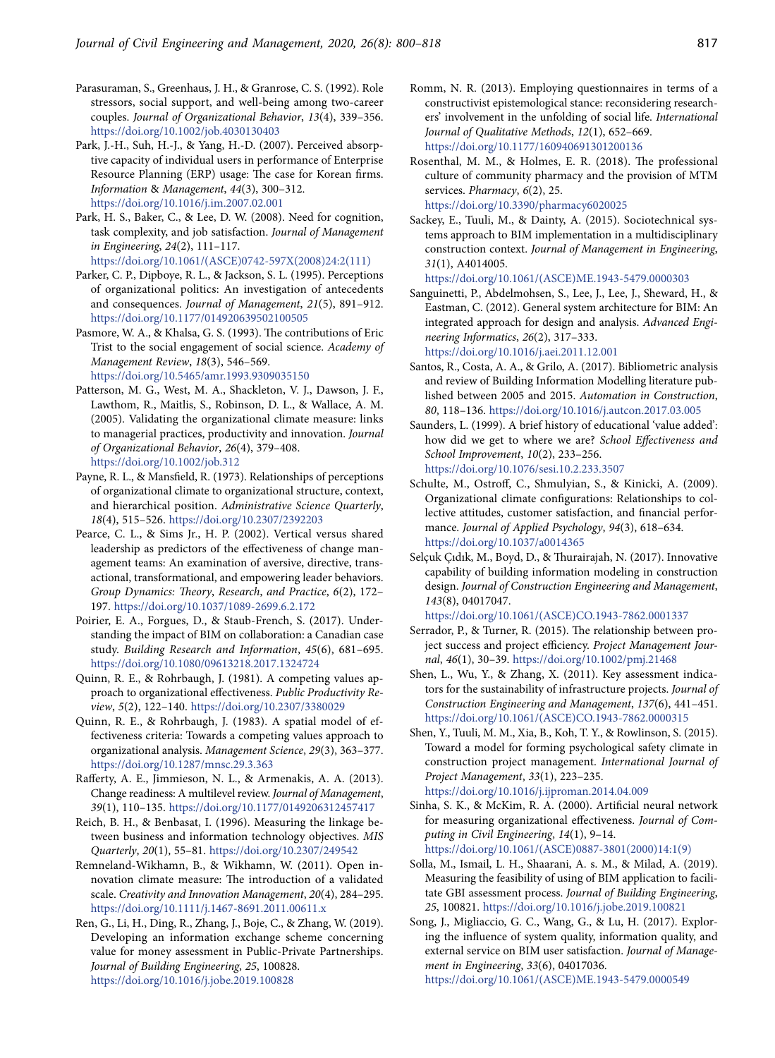- Parasuraman, S., Greenhaus, J. H., & Granrose, C. S. (1992). Role stressors, social support, and well‐being among two‐career couples. *Journal of Organizational Behavior*, *13*(4), 339–356. <https://doi.org/10.1002/job.4030130403>
- Park, J.-H., Suh, H.-J., & Yang, H.-D. (2007). Perceived absorptive capacity of individual users in performance of Enterprise Resource Planning (ERP) usage: The case for Korean firms. *Information* & *Management*, *44*(3), 300–312. <https://doi.org/10.1016/j.im.2007.02.001>
- Park, H. S., Baker, C., & Lee, D. W. (2008). Need for cognition, task complexity, and job satisfaction. *Journal of Management in Engineering*, *24*(2), 111–117. [https://doi.org/10.1061/\(ASCE\)0742-597X\(2008\)24:2\(111\)](https://doi.org/10.1061/(ASCE)0742-597X(2008)24:2(111))
- Parker, C. P., Dipboye, R. L., & Jackson, S. L. (1995). Perceptions of organizational politics: An investigation of antecedents and consequences. *Journal of Management*, *21*(5), 891–912. <https://doi.org/10.1177/014920639502100505>
- Pasmore, W. A., & Khalsa, G. S. (1993). The contributions of Eric Trist to the social engagement of social science. *Academy of Management Review*, *18*(3), 546–569. <https://doi.org/10.5465/amr.1993.9309035150>
- Patterson, M. G., West, M. A., Shackleton, V. J., Dawson, J. F., Lawthom, R., Maitlis, S., Robinson, D. L., & Wallace, A. M. (2005). Validating the organizational climate measure: links to managerial practices, productivity and innovation. *Journal of Organizational Behavior*, *26*(4), 379–408. <https://doi.org/10.1002/job.312>
- Payne, R. L., & Mansfield, R. (1973). Relationships of perceptions of organizational climate to organizational structure, context, and hierarchical position. *Administrative Science Quarterly*, *18*(4), 515–526. <https://doi.org/10.2307/2392203>
- Pearce, C. L., & Sims Jr., H. P. (2002). Vertical versus shared leadership as predictors of the effectiveness of change management teams: An examination of aversive, directive, transactional, transformational, and empowering leader behaviors. *Group Dynamics: Theory*, *Research*, *and Practice*, *6*(2), 172– 197.<https://doi.org/10.1037/1089-2699.6.2.172>
- Poirier, E. A., Forgues, D., & Staub-French, S. (2017). Understanding the impact of BIM on collaboration: a Canadian case study. *Building Research and Information*, *45*(6), 681–695. <https://doi.org/10.1080/09613218.2017.1324724>
- Quinn, R. E., & Rohrbaugh, J. (1981). A competing values approach to organizational effectiveness. *Public Productivity Review*, *5*(2), 122–140. <https://doi.org/10.2307/3380029>
- Quinn, R. E., & Rohrbaugh, J. (1983). A spatial model of effectiveness criteria: Towards a competing values approach to organizational analysis. *Management Science*, *29*(3), 363–377. <https://doi.org/10.1287/mnsc.29.3.363>
- Rafferty, A. E., Jimmieson, N. L., & Armenakis, A. A. (2013). Change readiness: A multilevel review. *Journal of Management*, *39*(1), 110–135. <https://doi.org/10.1177/0149206312457417>
- Reich, B. H., & Benbasat, I. (1996). Measuring the linkage between business and information technology objectives. *MIS Quarterly*, *20*(1), 55–81. <https://doi.org/10.2307/249542>
- Remneland-Wikhamn, B., & Wikhamn, W. (2011). Open innovation climate measure: The introduction of a validated scale. *Creativity and Innovation Management*, *20*(4), 284–295. <https://doi.org/10.1111/j.1467-8691.2011.00611.x>
- Ren, G., Li, H., Ding, R., Zhang, J., Boje, C., & Zhang, W. (2019). Developing an information exchange scheme concerning value for money assessment in Public-Private Partnerships. *Journal of Building Engineering*, *25*, 100828. <https://doi.org/10.1016/j.jobe.2019.100828>
- Romm, N. R. (2013). Employing questionnaires in terms of a constructivist epistemological stance: reconsidering researchers' involvement in the unfolding of social life. *International Journal of Qualitative Methods*, *12*(1), 652–669. <https://doi.org/10.1177/160940691301200136>
- Rosenthal, M. M., & Holmes, E. R. (2018). The professional culture of community pharmacy and the provision of MTM services. *Pharmacy*, *6*(2), 25. <https://doi.org/10.3390/pharmacy6020025>
- Sackey, E., Tuuli, M., & Dainty, A. (2015). Sociotechnical systems approach to BIM implementation in a multidisciplinary construction context. *Journal of Management in Engineering*, *31*(1), A4014005.
	- [https://doi.org/10.1061/\(ASCE\)ME.1943-5479.0000303](https://doi.org/10.1061/(ASCE)ME.1943-5479.0000303)
- Sanguinetti, P., Abdelmohsen, S., Lee, J., Lee, J., Sheward, H., & Eastman, C. (2012). General system architecture for BIM: An integrated approach for design and analysis. *Advanced Engineering Informatics*, *26*(2), 317–333. <https://doi.org/10.1016/j.aei.2011.12.001>
- Santos, R., Costa, A. A., & Grilo, A. (2017). Bibliometric analysis and review of Building Information Modelling literature published between 2005 and 2015. *Automation in Construction*, *80*, 118–136. <https://doi.org/10.1016/j.autcon.2017.03.005>
- Saunders, L. (1999). A brief history of educational 'value added': how did we get to where we are? *School Effectiveness and School Improvement*, *10*(2), 233–256. <https://doi.org/10.1076/sesi.10.2.233.3507>
- Schulte, M., Ostroff, C., Shmulyian, S., & Kinicki, A. (2009). Organizational climate configurations: Relationships to collective attitudes, customer satisfaction, and financial performance. *Journal of Applied Psychology*, *94*(3), 618–634. <https://doi.org/10.1037/a0014365>
- Selçuk Çıdık, M., Boyd, D., & Thurairajah, N. (2017). Innovative capability of building information modeling in construction design. *Journal of Construction Engineering and Management*, *143*(8), 04017047.
	- [https://doi.org/10.1061/\(ASCE\)CO.1943-7862.0001337](https://doi.org/10.1061/(ASCE)CO.1943-7862.0001337)
- Serrador, P., & Turner, R. (2015). The relationship between project success and project efficiency. *Project Management Journal*, *46*(1), 30–39. <https://doi.org/10.1002/pmj.21468>
- Shen, L., Wu, Y., & Zhang, X. (2011). Key assessment indicators for the sustainability of infrastructure projects. *Journal of Construction Engineering and Management*, *137*(6), 441–451. [https://doi.org/10.1061/\(ASCE\)CO.1943-7862.0000315](https://doi.org/10.1061/(ASCE)CO.1943-7862.0000315)
- Shen, Y., Tuuli, M. M., Xia, B., Koh, T. Y., & Rowlinson, S. (2015). Toward a model for forming psychological safety climate in construction project management. *International Journal of Project Management*, *33*(1), 223–235. <https://doi.org/10.1016/j.ijproman.2014.04.009>
- Sinha, S. K., & McKim, R. A. (2000). Artificial neural network for measuring organizational effectiveness. *Journal of Computing in Civil Engineering*, *14*(1), 9–14. [https://doi.org/10.1061/\(ASCE\)0887-3801\(2000\)14:1\(9\)](https://doi.org/10.1061/(ASCE)0887-3801(2000)14:1(9))
- Solla, M., Ismail, L. H., Shaarani, A. s. M., & Milad, A. (2019). Measuring the feasibility of using of BIM application to facilitate GBI assessment process. *Journal of Building Engineering*, *25*, 100821. <https://doi.org/10.1016/j.jobe.2019.100821>
- Song, J., Migliaccio, G. C., Wang, G., & Lu, H. (2017). Exploring the influence of system quality, information quality, and external service on BIM user satisfaction. *Journal of Management in Engineering*, *33*(6), 04017036. [https://doi.org/10.1061/\(ASCE\)ME.1943-5479.0000549](https://doi.org/10.1061/(ASCE)ME.1943-5479.0000549)